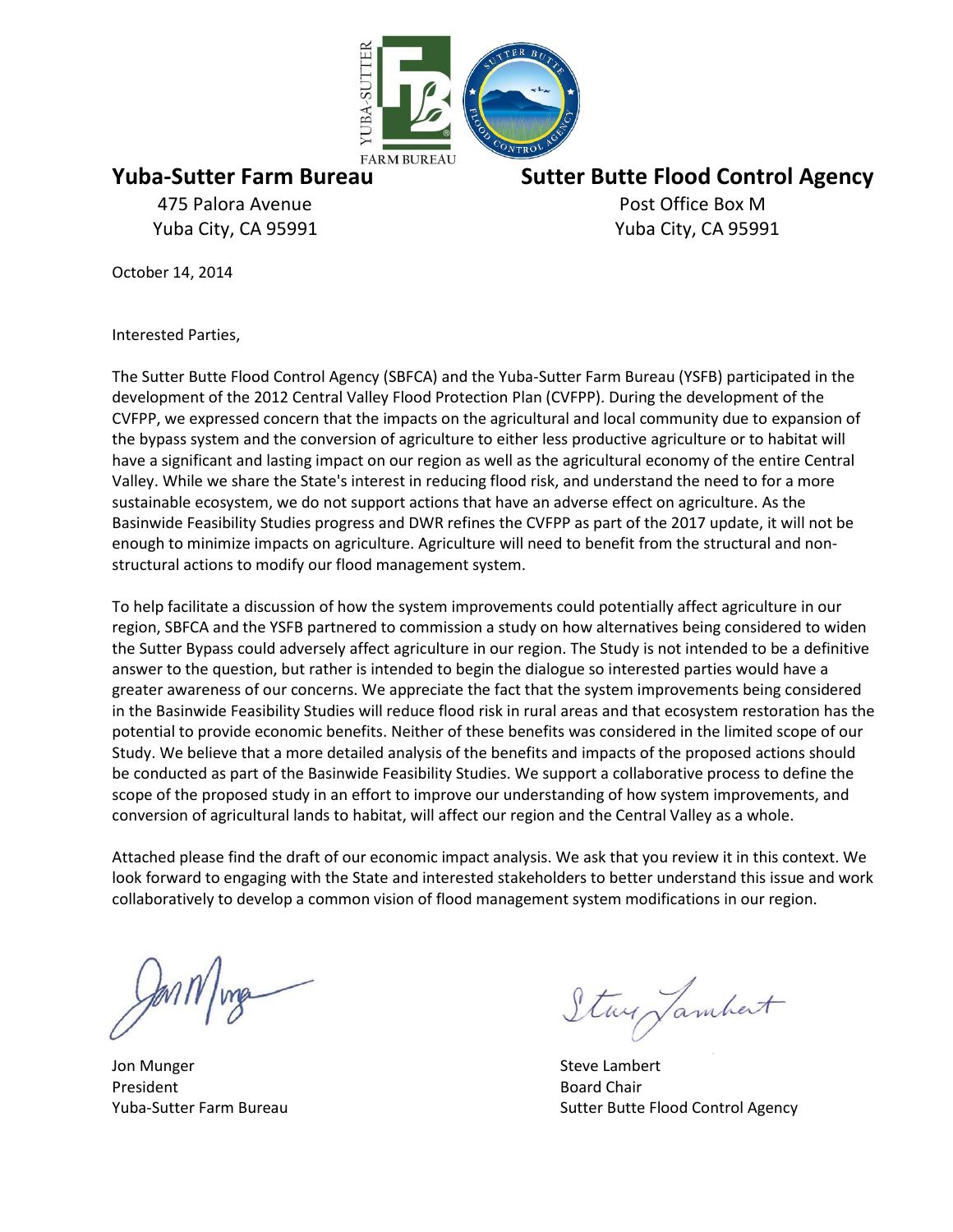

475 Palora Avenue **Post Office Box M** Yuba City, CA 95991 Yuba City, CA 95991

**Yuba-Sutter Farm Bureau Sutter Butte Flood Control Agency**

October 14, 2014

Interested Parties,

The Sutter Butte Flood Control Agency (SBFCA) and the Yuba-Sutter Farm Bureau (YSFB) participated in the development of the 2012 Central Valley Flood Protection Plan (CVFPP). During the development of the CVFPP, we expressed concern that the impacts on the agricultural and local community due to expansion of the bypass system and the conversion of agriculture to either less productive agriculture or to habitat will have a significant and lasting impact on our region as well as the agricultural economy of the entire Central Valley. While we share the State's interest in reducing flood risk, and understand the need to for a more sustainable ecosystem, we do not support actions that have an adverse effect on agriculture. As the Basinwide Feasibility Studies progress and DWR refines the CVFPP as part of the 2017 update, it will not be enough to minimize impacts on agriculture. Agriculture will need to benefit from the structural and nonstructural actions to modify our flood management system.

To help facilitate a discussion of how the system improvements could potentially affect agriculture in our region, SBFCA and the YSFB partnered to commission a study on how alternatives being considered to widen the Sutter Bypass could adversely affect agriculture in our region. The Study is not intended to be a definitive answer to the question, but rather is intended to begin the dialogue so interested parties would have a greater awareness of our concerns. We appreciate the fact that the system improvements being considered in the Basinwide Feasibility Studies will reduce flood risk in rural areas and that ecosystem restoration has the potential to provide economic benefits. Neither of these benefits was considered in the limited scope of our Study. We believe that a more detailed analysis of the benefits and impacts of the proposed actions should be conducted as part of the Basinwide Feasibility Studies. We support a collaborative process to define the scope of the proposed study in an effort to improve our understanding of how system improvements, and conversion of agricultural lands to habitat, will affect our region and the Central Valley as a whole.

Attached please find the draft of our economic impact analysis. We ask that you review it in this context. We look forward to engaging with the State and interested stakeholders to better understand this issue and work collaboratively to develop a common vision of flood management system modifications in our region.

Jon Munger **Steve Lambert** Steve Lambert **Steve Lambert** President **Board Chair** 

Stay Jambert

Yuba-Sutter Farm Bureau Sutter Butter Butter Butter Butter Butter Butter Butter Butter Butter Butter Butter Butter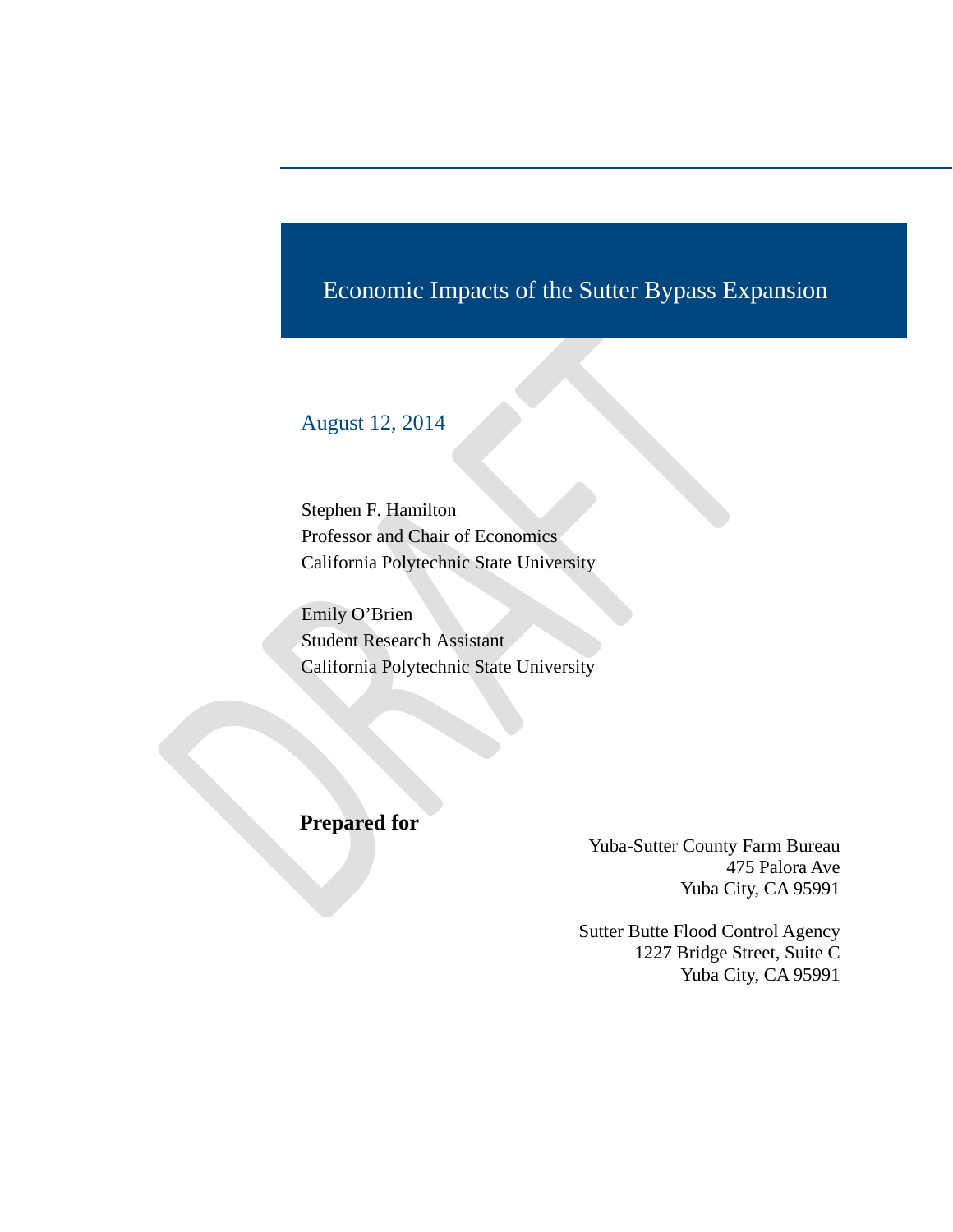# Economic Impacts of the Sutter Bypass Expansion

# August 12, 2014

Stephen F. Hamilton Professor and Chair of Economics California Polytechnic State University

Emily O'Brien Student Research Assistant California Polytechnic State University

**Prepared for** 

Yuba-Sutter County Farm Bureau 475 Palora Ave Yuba City, CA 95991

Sutter Butte Flood Control Agency 1227 Bridge Street, Suite C Yuba City, CA 95991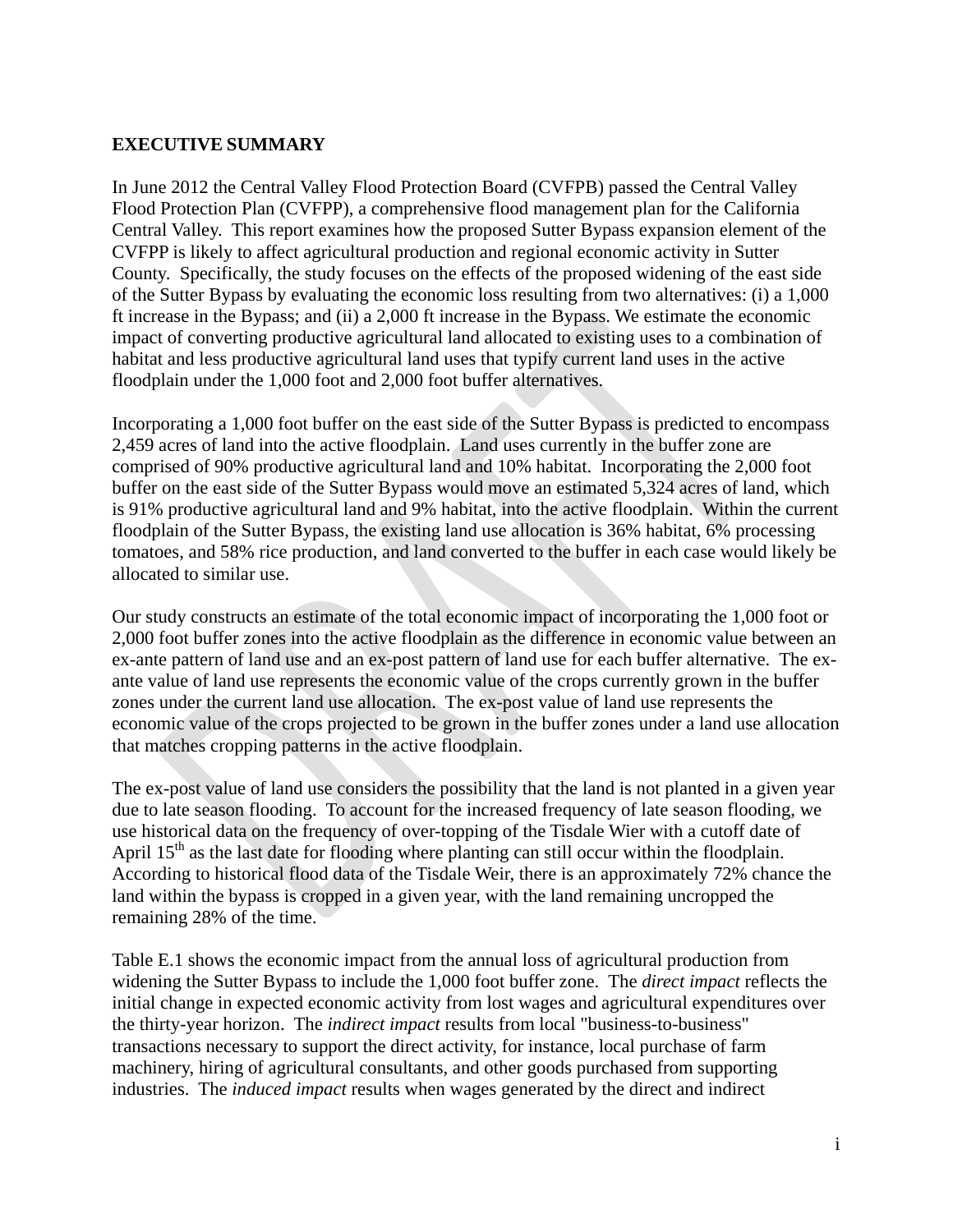#### **EXECUTIVE SUMMARY**

In June 2012 the Central Valley Flood Protection Board (CVFPB) passed the Central Valley Flood Protection Plan (CVFPP), a comprehensive flood management plan for the California Central Valley. This report examines how the proposed Sutter Bypass expansion element of the CVFPP is likely to affect agricultural production and regional economic activity in Sutter County. Specifically, the study focuses on the effects of the proposed widening of the east side of the Sutter Bypass by evaluating the economic loss resulting from two alternatives: (i) a 1,000 ft increase in the Bypass; and (ii) a 2,000 ft increase in the Bypass. We estimate the economic impact of converting productive agricultural land allocated to existing uses to a combination of habitat and less productive agricultural land uses that typify current land uses in the active floodplain under the 1,000 foot and 2,000 foot buffer alternatives.

Incorporating a 1,000 foot buffer on the east side of the Sutter Bypass is predicted to encompass 2,459 acres of land into the active floodplain. Land uses currently in the buffer zone are comprised of 90% productive agricultural land and 10% habitat. Incorporating the 2,000 foot buffer on the east side of the Sutter Bypass would move an estimated 5,324 acres of land, which is 91% productive agricultural land and 9% habitat, into the active floodplain. Within the current floodplain of the Sutter Bypass, the existing land use allocation is 36% habitat, 6% processing tomatoes, and 58% rice production, and land converted to the buffer in each case would likely be allocated to similar use.

Our study constructs an estimate of the total economic impact of incorporating the 1,000 foot or 2,000 foot buffer zones into the active floodplain as the difference in economic value between an ex-ante pattern of land use and an ex-post pattern of land use for each buffer alternative. The exante value of land use represents the economic value of the crops currently grown in the buffer zones under the current land use allocation. The ex-post value of land use represents the economic value of the crops projected to be grown in the buffer zones under a land use allocation that matches cropping patterns in the active floodplain.

The ex-post value of land use considers the possibility that the land is not planted in a given year due to late season flooding. To account for the increased frequency of late season flooding, we use historical data on the frequency of over-topping of the Tisdale Wier with a cutoff date of April  $15<sup>th</sup>$  as the last date for flooding where planting can still occur within the floodplain. According to historical flood data of the Tisdale Weir, there is an approximately 72% chance the land within the bypass is cropped in a given year, with the land remaining uncropped the remaining 28% of the time.

Table E.1 shows the economic impact from the annual loss of agricultural production from widening the Sutter Bypass to include the 1,000 foot buffer zone. The *direct impact* reflects the initial change in expected economic activity from lost wages and agricultural expenditures over the thirty-year horizon. The *indirect impact* results from local "business-to-business" transactions necessary to support the direct activity, for instance, local purchase of farm machinery, hiring of agricultural consultants, and other goods purchased from supporting industries. The *induced impact* results when wages generated by the direct and indirect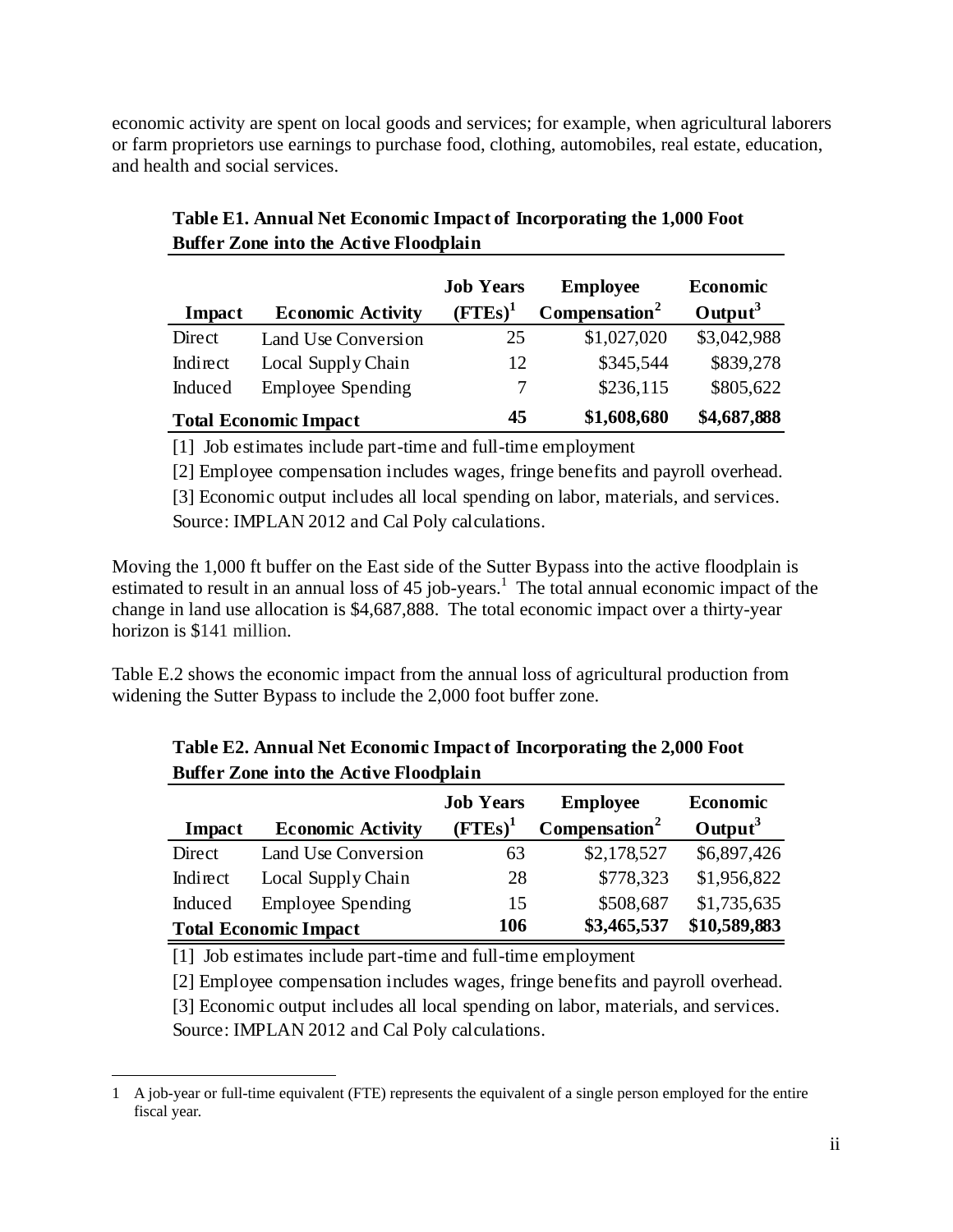economic activity are spent on local goods and services; for example, when agricultural laborers or farm proprietors use earnings to purchase food, clothing, automobiles, real estate, education, and health and social services.

| Impact   | <b>Economic Activity</b>     | <b>Job Years</b><br>$(FTEs)^1$ | <b>Employee</b><br>Compensation <sup>2</sup> | <b>Economic</b><br>Output <sup>3</sup> |
|----------|------------------------------|--------------------------------|----------------------------------------------|----------------------------------------|
| Direct   | Land Use Conversion          | 25                             | \$1,027,020                                  | \$3,042,988                            |
| Indirect | Local Supply Chain           | 12                             | \$345,544                                    | \$839,278                              |
| Induced  | <b>Employee Spending</b>     |                                | \$236,115                                    | \$805,622                              |
|          | <b>Total Economic Impact</b> | 45                             | \$1,608,680                                  | \$4,687,888                            |

| Table E1. Annual Net Economic Impact of Incorporating the 1,000 Foot |
|----------------------------------------------------------------------|
| <b>Buffer Zone into the Active Floodplain</b>                        |

[1] Job estimates include part-time and full-time employment

[2] Employee compensation includes wages, fringe benefits and payroll overhead.

Source: IMPLAN 2012 and Cal Poly calculations. [3] Economic output includes all local spending on labor, materials, and services.

Moving the 1,000 ft buffer on the East side of the Sutter Bypass into the active floodplain is estimated to result in an annual loss of  $45$  job-years.<sup>1</sup> The total annual economic impact of the change in land use allocation is \$4,687,888. The total economic impact over a thirty-year horizon is \$141 million.

Table E.2 shows the economic impact from the annual loss of agricultural production from widening the Sutter Bypass to include the 2,000 foot buffer zone.

| Impact                       | <b>Economic Activity</b> | <b>Job Years</b><br>$(FTEs)^1$ | <b>Employee</b><br>Compensation <sup>2</sup> | Economic<br>Output <sup>3</sup> |
|------------------------------|--------------------------|--------------------------------|----------------------------------------------|---------------------------------|
| Direct                       | Land Use Conversion      | 63                             | \$2,178,527                                  | \$6,897,426                     |
| Indirect                     | Local Supply Chain       | 28                             | \$778,323                                    | \$1,956,822                     |
| Induced                      | <b>Employee Spending</b> | 15                             | \$508,687                                    | \$1,735,635                     |
| <b>Total Economic Impact</b> |                          | 106                            | \$3,465,537                                  | \$10,589,883                    |

| Table E2. Annual Net Economic Impact of Incorporating the 2,000 Foot |
|----------------------------------------------------------------------|
| <b>Buffer Zone into the Active Floodplain</b>                        |

[1] Job estimates include part-time and full-time employment

[2] Employee compensation includes wages, fringe benefits and payroll overhead. Source: IMPLAN 2012 and Cal Poly calculations. [3] Economic output includes all local spending on labor, materials, and services.

 $\overline{a}$ 1 A job-year or full-time equivalent (FTE) represents the equivalent of a single person employed for the entire fiscal year.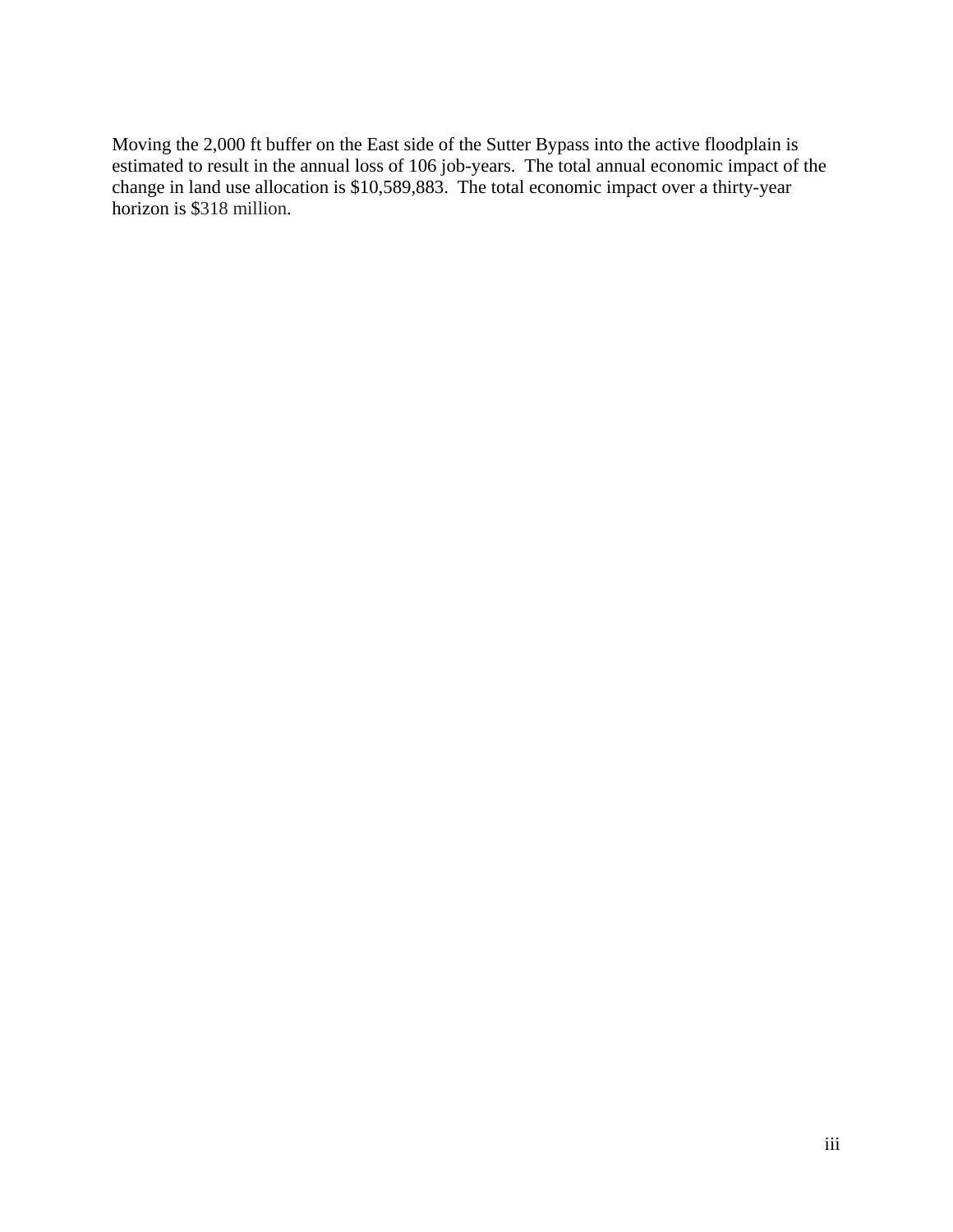Moving the 2,000 ft buffer on the East side of the Sutter Bypass into the active floodplain is estimated to result in the annual loss of 106 job-years. The total annual economic impact of the change in land use allocation is \$10,589,883. The total economic impact over a thirty-year horizon is \$318 million.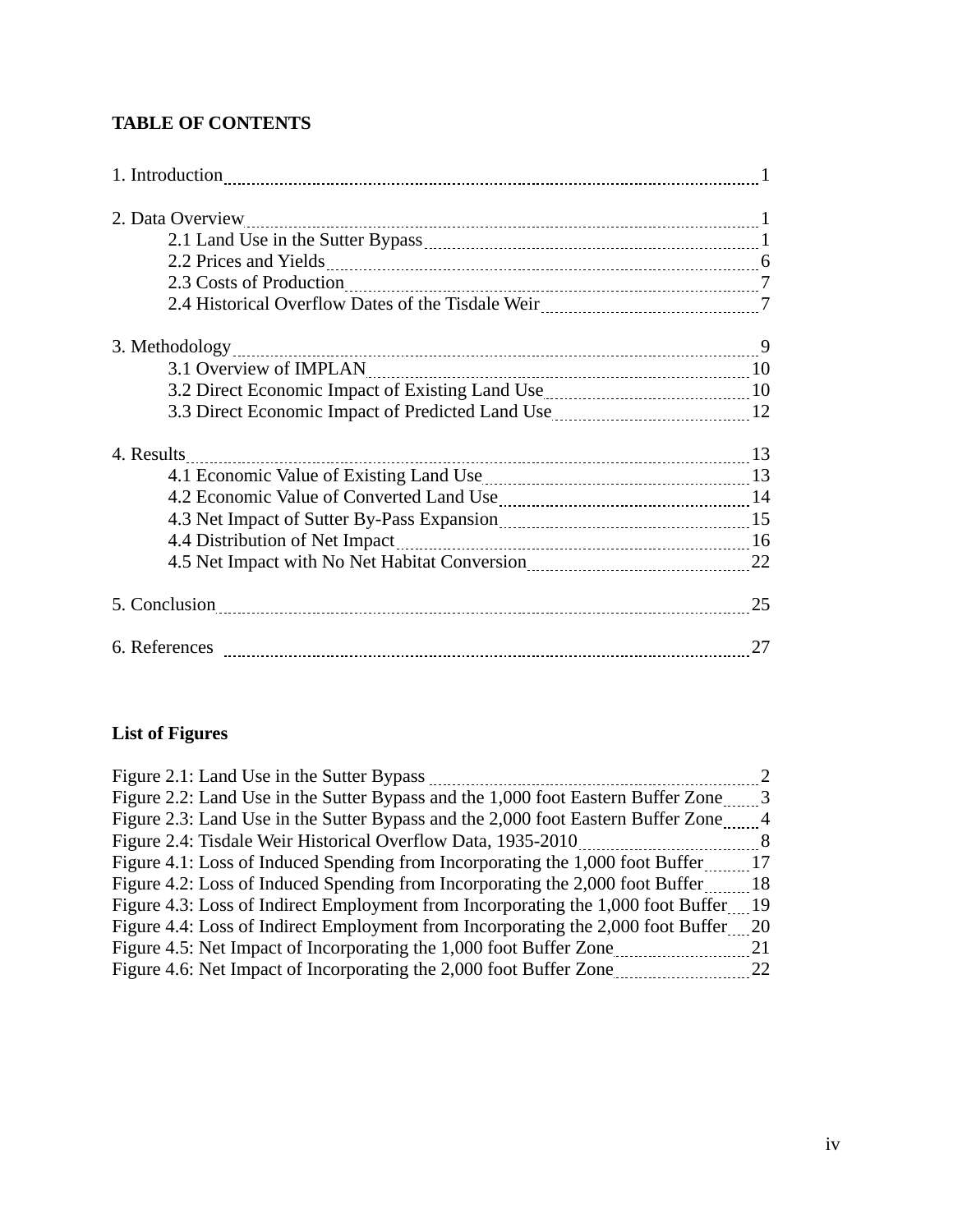# **TABLE OF CONTENTS**

| 2. Data Overview                                                                                                                                                                                                              |    |
|-------------------------------------------------------------------------------------------------------------------------------------------------------------------------------------------------------------------------------|----|
|                                                                                                                                                                                                                               |    |
|                                                                                                                                                                                                                               |    |
| 2.3 Costs of Production 2.3 Costs of Production 2.3 Costs of Production 2.2 Costs of Production 2.2 Costs and 2                                                                                                               |    |
|                                                                                                                                                                                                                               |    |
|                                                                                                                                                                                                                               |    |
|                                                                                                                                                                                                                               |    |
| 3.2 Direct Economic Impact of Existing Land Use <b>Manual</b> Land 10                                                                                                                                                         |    |
| 3.3 Direct Economic Impact of Predicted Land Use 12 12                                                                                                                                                                        |    |
| 4. Results                                                                                                                                                                                                                    |    |
|                                                                                                                                                                                                                               |    |
| 4.2 Economic Value of Converted Land Use Manual Allen and Land Alexander Manual Allen and Alexander Manual Al                                                                                                                 |    |
| 4.3 Net Impact of Sutter By-Pass Expansion <b>Manufact 19th</b> 15                                                                                                                                                            |    |
| 4.4 Distribution of Net Impact 16 metal and 16 metal and 16 metal and 16 metal and 16 metal and 16 metal and 16 metal and 16 metal and 16 metal and 16 metal and 16 metal and 16 metal and 16 metal and 16 metal and 16 metal |    |
| 4.5 Net Impact with No Net Habitat Conversion <b>Mature 22</b> 22                                                                                                                                                             |    |
| 5. Conclusion 25                                                                                                                                                                                                              |    |
|                                                                                                                                                                                                                               | 27 |

# **List of Figures**

| Figure 2.1: Land Use in the Sutter Bypass                                           |      |
|-------------------------------------------------------------------------------------|------|
| Figure 2.2: Land Use in the Sutter Bypass and the 1,000 foot Eastern Buffer Zone    | -3   |
| Figure 2.3: Land Use in the Sutter Bypass and the 2,000 foot Eastern Buffer Zone    | 4    |
| Figure 2.4: Tisdale Weir Historical Overflow Data, 1935-2010                        | 8    |
| Figure 4.1: Loss of Induced Spending from Incorporating the 1,000 foot Buffer       | 17   |
| Figure 4.2: Loss of Induced Spending from Incorporating the 2,000 foot Buffer       | -18  |
| Figure 4.3: Loss of Indirect Employment from Incorporating the 1,000 foot Buffer    | - 19 |
| Figure 4.4: Loss of Indirect Employment from Incorporating the 2,000 foot Buffer 20 |      |
| Figure 4.5: Net Impact of Incorporating the 1,000 foot Buffer Zone                  | 21   |
| Figure 4.6: Net Impact of Incorporating the 2,000 foot Buffer Zone                  | 22   |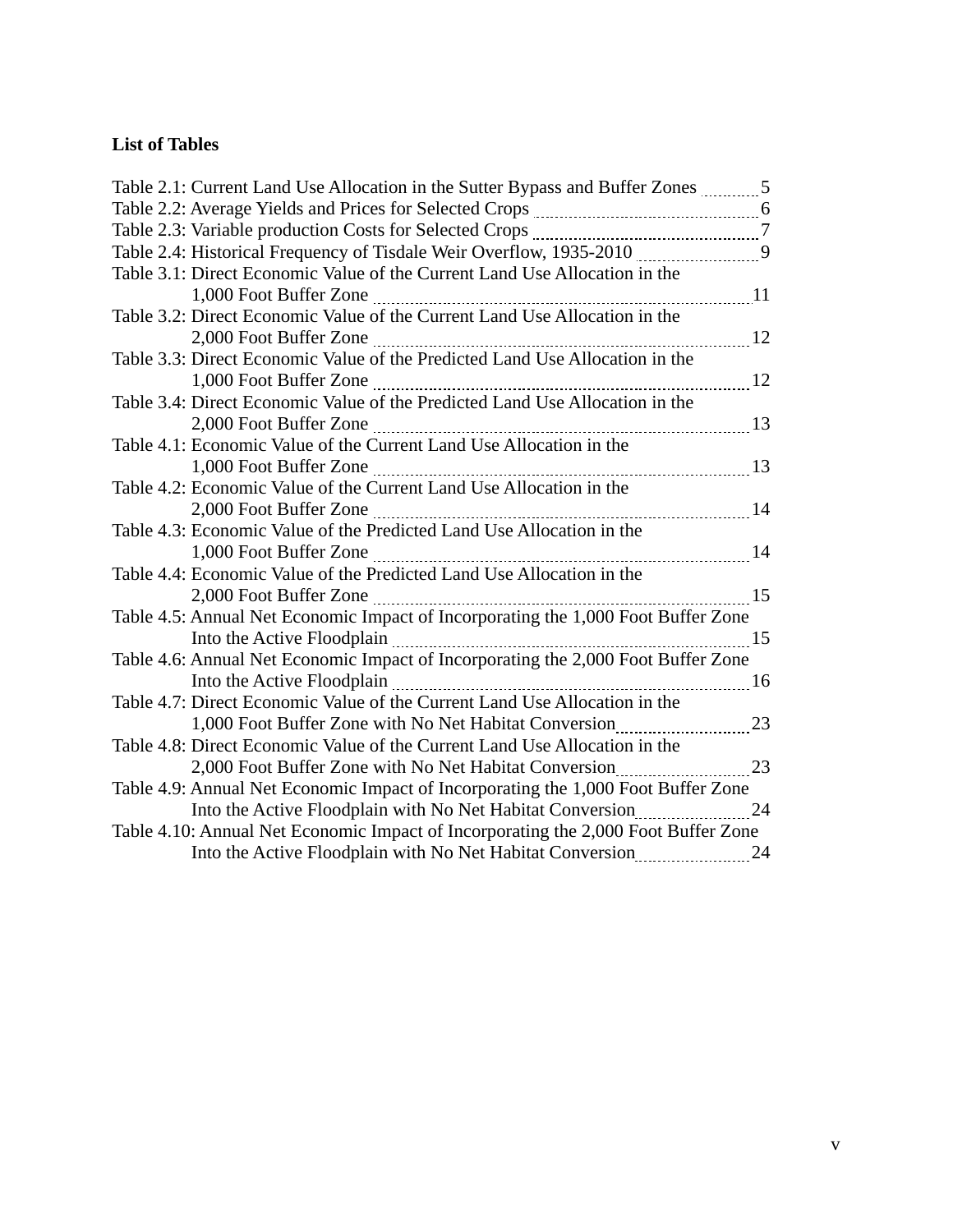# **List of Tables**

| Table 2.1: Current Land Use Allocation in the Sutter Bypass and Buffer Zones 5                                                                       |    |
|------------------------------------------------------------------------------------------------------------------------------------------------------|----|
|                                                                                                                                                      |    |
|                                                                                                                                                      |    |
| Table 2.4: Historical Frequency of Tisdale Weir Overflow, 1935-2010 [1915] [916] Table 2.4: Historical Frequency of Tisdale Weir Overflow, 1935-2010 |    |
| Table 3.1: Direct Economic Value of the Current Land Use Allocation in the                                                                           |    |
|                                                                                                                                                      |    |
| Table 3.2: Direct Economic Value of the Current Land Use Allocation in the                                                                           |    |
|                                                                                                                                                      |    |
| Table 3.3: Direct Economic Value of the Predicted Land Use Allocation in the                                                                         |    |
|                                                                                                                                                      | 12 |
| Table 3.4: Direct Economic Value of the Predicted Land Use Allocation in the                                                                         |    |
|                                                                                                                                                      | 13 |
| Table 4.1: Economic Value of the Current Land Use Allocation in the                                                                                  |    |
|                                                                                                                                                      | 13 |
| Table 4.2: Economic Value of the Current Land Use Allocation in the                                                                                  |    |
|                                                                                                                                                      | 14 |
| Table 4.3: Economic Value of the Predicted Land Use Allocation in the                                                                                |    |
|                                                                                                                                                      | 14 |
| Table 4.4: Economic Value of the Predicted Land Use Allocation in the                                                                                |    |
|                                                                                                                                                      |    |
| Table 4.5: Annual Net Economic Impact of Incorporating the 1,000 Foot Buffer Zone                                                                    |    |
|                                                                                                                                                      | 15 |
| Table 4.6: Annual Net Economic Impact of Incorporating the 2,000 Foot Buffer Zone                                                                    |    |
|                                                                                                                                                      |    |
| Table 4.7: Direct Economic Value of the Current Land Use Allocation in the                                                                           |    |
| 1,000 Foot Buffer Zone with No Net Habitat Conversion 23                                                                                             |    |
| Table 4.8: Direct Economic Value of the Current Land Use Allocation in the                                                                           |    |
| 2,000 Foot Buffer Zone with No Net Habitat Conversion 23                                                                                             |    |
| Table 4.9: Annual Net Economic Impact of Incorporating the 1,000 Foot Buffer Zone                                                                    |    |
| Into the Active Floodplain with No Net Habitat Conversion                                                                                            | 24 |
| Table 4.10: Annual Net Economic Impact of Incorporating the 2,000 Foot Buffer Zone                                                                   |    |
| Into the Active Floodplain with No Net Habitat Conversion                                                                                            | 24 |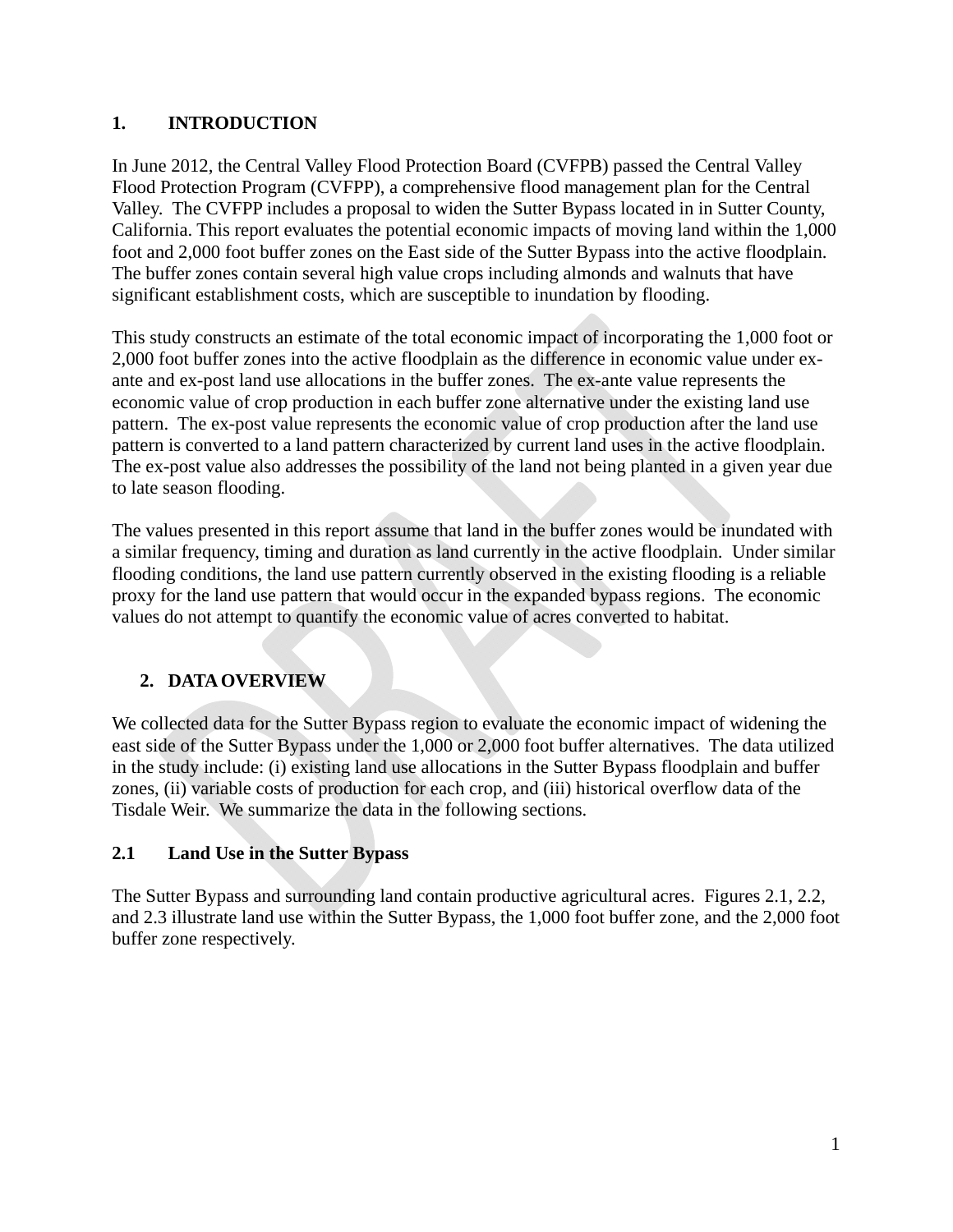# **1. INTRODUCTION**

In June 2012, the Central Valley Flood Protection Board (CVFPB) passed the Central Valley Flood Protection Program (CVFPP), a comprehensive flood management plan for the Central Valley. The CVFPP includes a proposal to widen the Sutter Bypass located in in Sutter County, California. This report evaluates the potential economic impacts of moving land within the 1,000 foot and 2,000 foot buffer zones on the East side of the Sutter Bypass into the active floodplain. The buffer zones contain several high value crops including almonds and walnuts that have significant establishment costs, which are susceptible to inundation by flooding.

This study constructs an estimate of the total economic impact of incorporating the 1,000 foot or 2,000 foot buffer zones into the active floodplain as the difference in economic value under exante and ex-post land use allocations in the buffer zones. The ex-ante value represents the economic value of crop production in each buffer zone alternative under the existing land use pattern. The ex-post value represents the economic value of crop production after the land use pattern is converted to a land pattern characterized by current land uses in the active floodplain. The ex-post value also addresses the possibility of the land not being planted in a given year due to late season flooding.

The values presented in this report assume that land in the buffer zones would be inundated with a similar frequency, timing and duration as land currently in the active floodplain. Under similar flooding conditions, the land use pattern currently observed in the existing flooding is a reliable proxy for the land use pattern that would occur in the expanded bypass regions. The economic values do not attempt to quantify the economic value of acres converted to habitat.

# **2. DATAOVERVIEW**

We collected data for the Sutter Bypass region to evaluate the economic impact of widening the east side of the Sutter Bypass under the 1,000 or 2,000 foot buffer alternatives. The data utilized in the study include: (i) existing land use allocations in the Sutter Bypass floodplain and buffer zones, (ii) variable costs of production for each crop, and (iii) historical overflow data of the Tisdale Weir. We summarize the data in the following sections.

# **2.1 Land Use in the Sutter Bypass**

The Sutter Bypass and surrounding land contain productive agricultural acres. Figures 2.1, 2.2, and 2.3 illustrate land use within the Sutter Bypass, the 1,000 foot buffer zone, and the 2,000 foot buffer zone respectively.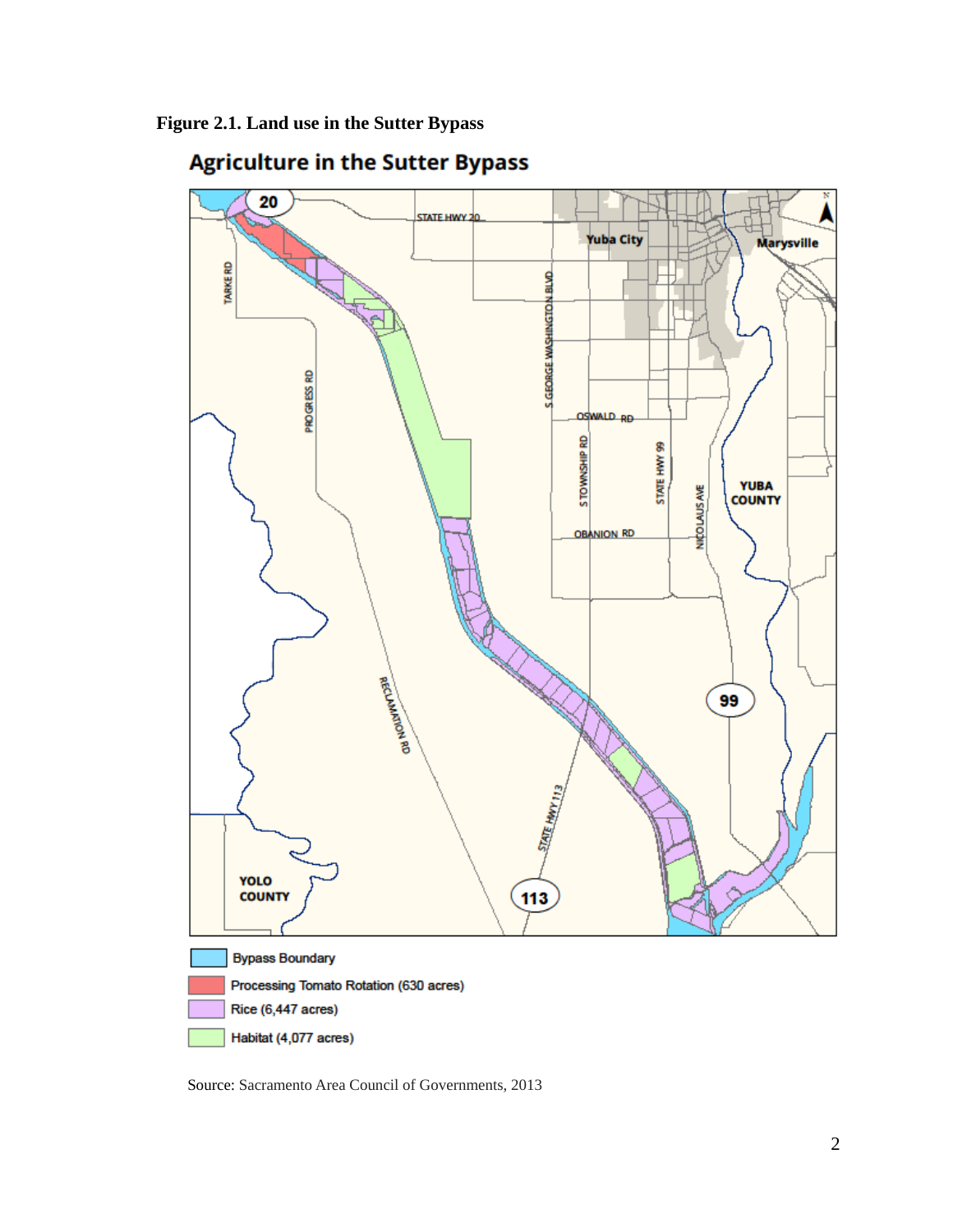

# **Agriculture in the Sutter Bypass**

Source: Sacramento Area Council of Governments, 2013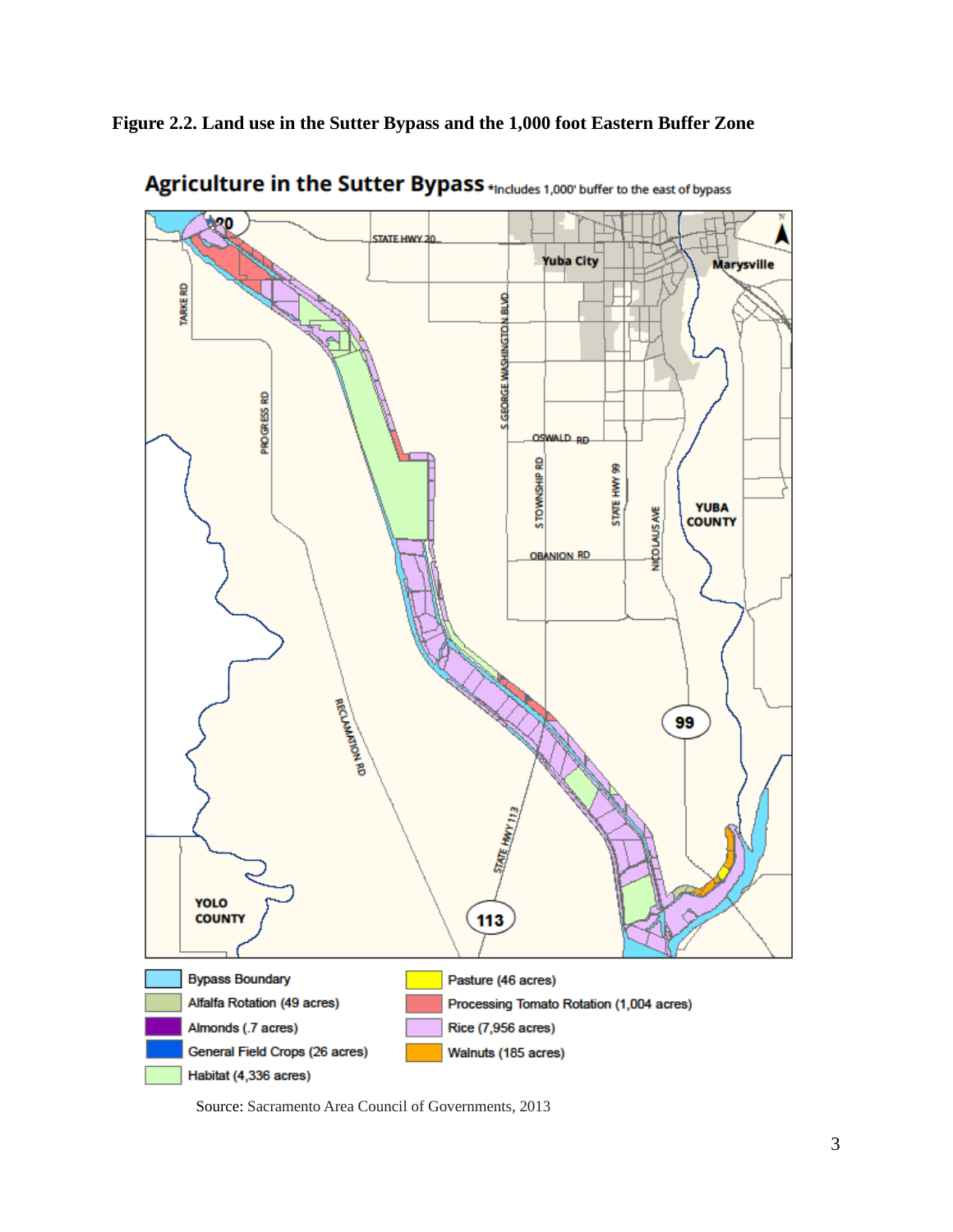**Figure 2.2. Land use in the Sutter Bypass and the 1,000 foot Eastern Buffer Zone** 



Agriculture in the Sutter Bypass \*Includes 1,000' buffer to the east of bypass

Source: Sacramento Area Council of Governments, 2013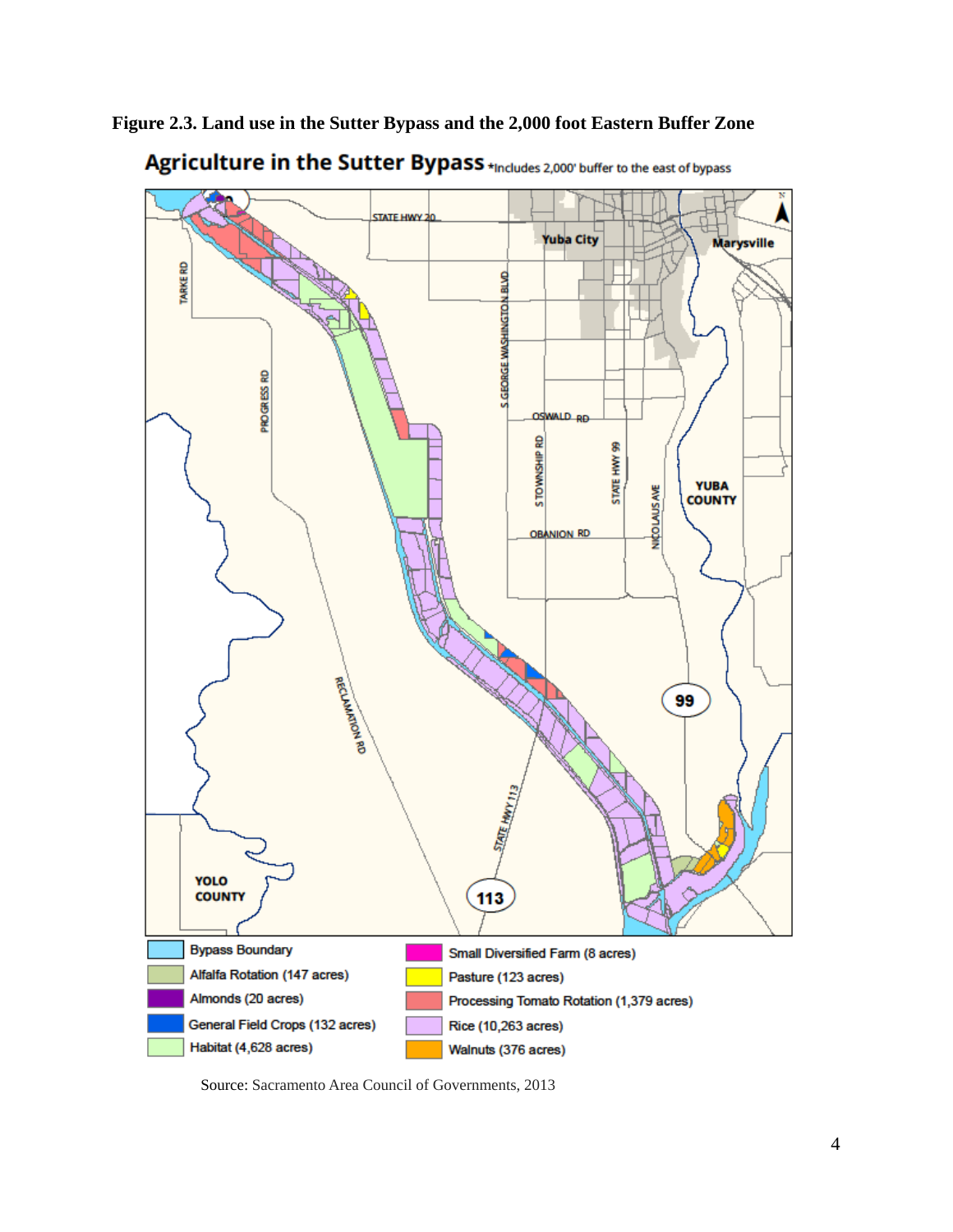**Figure 2.3. Land use in the Sutter Bypass and the 2,000 foot Eastern Buffer Zone** 



Agriculture in the Sutter Bypass \*Includes 2,000' buffer to the east of bypass

Source: Sacramento Area Council of Governments, 2013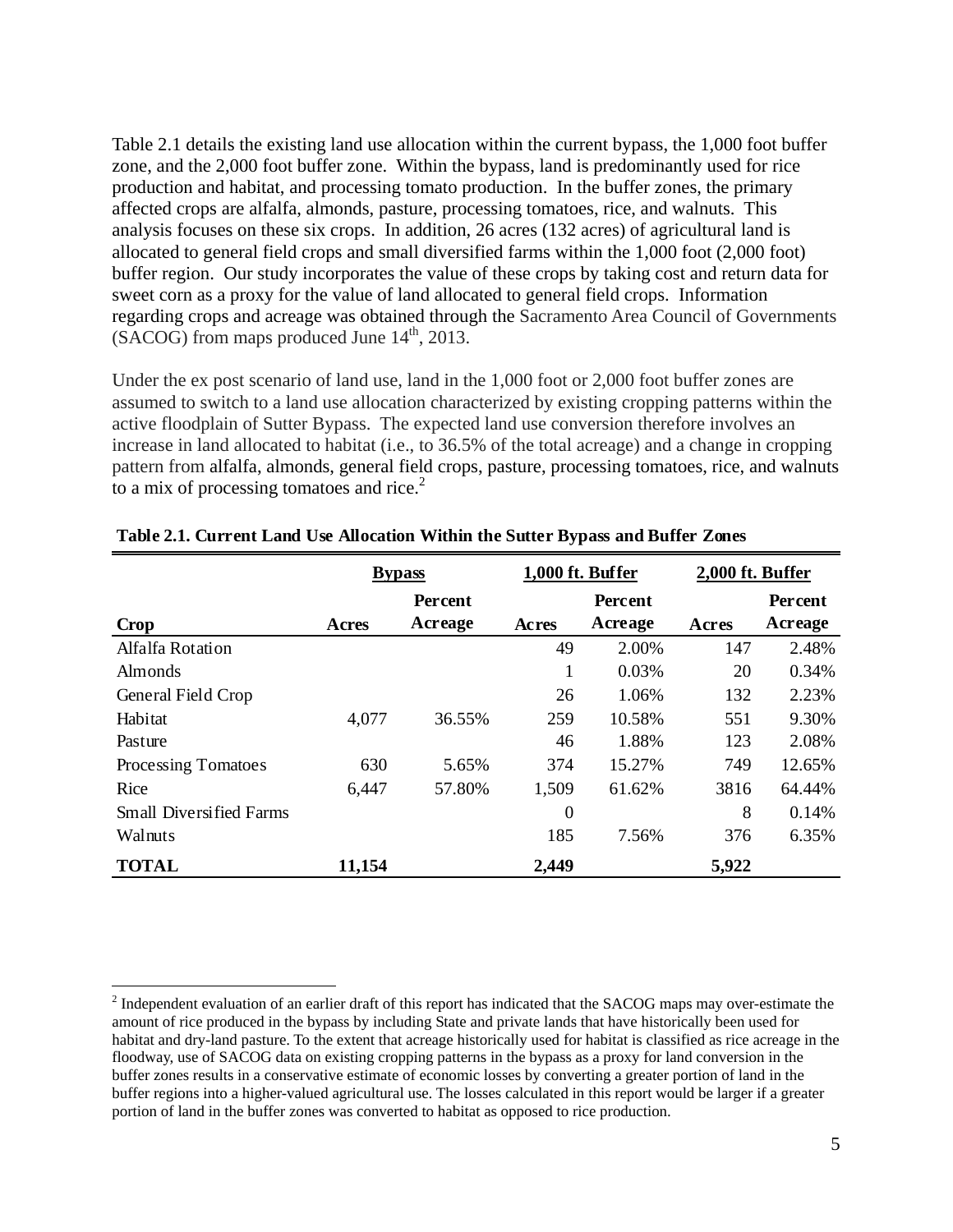Table 2.1 details the existing land use allocation within the current bypass, the 1,000 foot buffer zone, and the 2,000 foot buffer zone. Within the bypass, land is predominantly used for rice production and habitat, and processing tomato production. In the buffer zones, the primary affected crops are alfalfa, almonds, pasture, processing tomatoes, rice, and walnuts. This analysis focuses on these six crops. In addition, 26 acres (132 acres) of agricultural land is allocated to general field crops and small diversified farms within the 1,000 foot (2,000 foot) buffer region. Our study incorporates the value of these crops by taking cost and return data for sweet corn as a proxy for the value of land allocated to general field crops. Information regarding crops and acreage was obtained through the Sacramento Area Council of Governments  $(SACOG)$  from maps produced June  $14<sup>th</sup>$ , 2013.

Under the ex post scenario of land use, land in the 1,000 foot or 2,000 foot buffer zones are assumed to switch to a land use allocation characterized by existing cropping patterns within the active floodplain of Sutter Bypass. The expected land use conversion therefore involves an increase in land allocated to habitat (i.e., to 36.5% of the total acreage) and a change in cropping pattern from alfalfa, almonds, general field crops, pasture, processing tomatoes, rice, and walnuts to a mix of processing tomatoes and rice. $2$ 

|                                | <b>Bypass</b> |         |                | 1,000 ft. Buffer |         | 2,000 ft. Buffer |  |
|--------------------------------|---------------|---------|----------------|------------------|---------|------------------|--|
|                                |               | Percent | <b>Percent</b> |                  | Percent |                  |  |
| <b>Crop</b>                    | Acres         | Acreage | Acres          | Acreage          | Acres   | Acreage          |  |
| Alfalfa Rotation               |               |         | 49             | 2.00%            | 147     | 2.48%            |  |
| Almonds                        |               |         |                | 0.03%            | 20      | 0.34%            |  |
| General Field Crop             |               |         | 26             | 1.06%            | 132     | 2.23%            |  |
| Habitat                        | 4,077         | 36.55%  | 259            | 10.58%           | 551     | 9.30%            |  |
| Pasture                        |               |         | 46             | 1.88%            | 123     | 2.08%            |  |
| Processing Tomatoes            | 630           | 5.65%   | 374            | 15.27%           | 749     | 12.65%           |  |
| Rice                           | 6,447         | 57.80%  | 1,509          | 61.62%           | 3816    | 64.44%           |  |
| <b>Small Diversified Farms</b> |               |         | $\theta$       |                  | 8       | 0.14%            |  |
| Walnuts                        |               |         | 185            | 7.56%            | 376     | 6.35%            |  |
| <b>TOTAL</b>                   | 11,154        |         | 2,449          |                  | 5,922   |                  |  |

#### **Table 2.1. Current Land Use Allocation Within the Sutter Bypass and Buffer Zones**

 $\overline{a}$ 

 $2<sup>2</sup>$  Independent evaluation of an earlier draft of this report has indicated that the SACOG maps may over-estimate the amount of rice produced in the bypass by including State and private lands that have historically been used for habitat and dry-land pasture. To the extent that acreage historically used for habitat is classified as rice acreage in the floodway, use of SACOG data on existing cropping patterns in the bypass as a proxy for land conversion in the buffer zones results in a conservative estimate of economic losses by converting a greater portion of land in the buffer regions into a higher-valued agricultural use. The losses calculated in this report would be larger if a greater portion of land in the buffer zones was converted to habitat as opposed to rice production.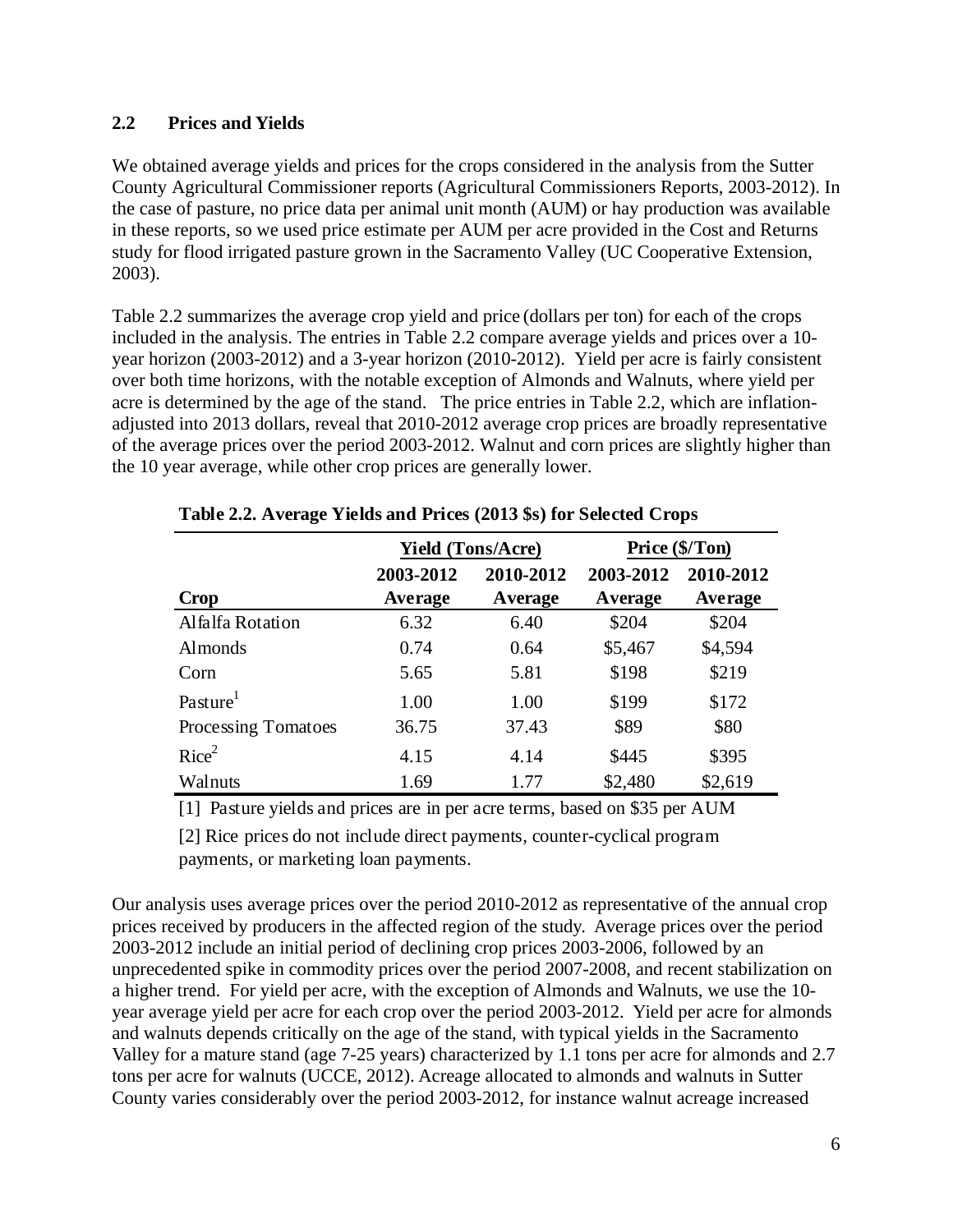## **2.2 Prices and Yields**

We obtained average yields and prices for the crops considered in the analysis from the Sutter County Agricultural Commissioner reports (Agricultural Commissioners Reports, 2003-2012). In the case of pasture, no price data per animal unit month (AUM) or hay production was available in these reports, so we used price estimate per AUM per acre provided in the Cost and Returns study for flood irrigated pasture grown in the Sacramento Valley (UC Cooperative Extension, 2003).

Table 2.2 summarizes the average crop yield and price (dollars per ton) for each of the crops included in the analysis. The entries in Table 2.2 compare average yields and prices over a 10 year horizon (2003-2012) and a 3-year horizon (2010-2012). Yield per acre is fairly consistent over both time horizons, with the notable exception of Almonds and Walnuts, where yield per acre is determined by the age of the stand. The price entries in Table 2.2, which are inflationadjusted into 2013 dollars, reveal that 2010-2012 average crop prices are broadly representative of the average prices over the period 2003-2012. Walnut and corn prices are slightly higher than the 10 year average, while other crop prices are generally lower.

|                      | <b>Yield (Tons/Acre)</b> |                      | Price (\$/Ton)       |                      |
|----------------------|--------------------------|----------------------|----------------------|----------------------|
| <b>Crop</b>          | 2003-2012<br>Average     | 2010-2012<br>Average | 2003-2012<br>Average | 2010-2012<br>Average |
| Alfalfa Rotation     | 6.32                     | 6.40                 | \$204                | \$204                |
| <b>Almonds</b>       | 0.74                     | 0.64                 | \$5,467              | \$4,594              |
| Corn                 | 5.65                     | 5.81                 | \$198                | \$219                |
| Pasture <sup>1</sup> | 1.00                     | 1.00                 | \$199                | \$172                |
| Processing Tomatoes  | 36.75                    | 37.43                | \$89                 | \$80                 |
| Rice <sup>2</sup>    | 4.15                     | 4.14                 | \$445                | \$395                |
| Walnuts              | 1.69                     | 1.77                 | \$2,480              | \$2,619              |

**Table 2.2. Average Yields and Prices (2013 \$s) for Selected Crops**

[1] Pasture yields and prices are in per acre terms, based on \$35 per AUM

[2] Rice prices do not include direct payments, counter-cyclical program payments, or marketing loan payments.

Our analysis uses average prices over the period 2010-2012 as representative of the annual crop prices received by producers in the affected region of the study. Average prices over the period 2003-2012 include an initial period of declining crop prices 2003-2006, followed by an unprecedented spike in commodity prices over the period 2007-2008, and recent stabilization on a higher trend. For yield per acre, with the exception of Almonds and Walnuts, we use the 10 year average yield per acre for each crop over the period 2003-2012. Yield per acre for almonds and walnuts depends critically on the age of the stand, with typical yields in the Sacramento Valley for a mature stand (age 7-25 years) characterized by 1.1 tons per acre for almonds and 2.7 tons per acre for walnuts (UCCE, 2012). Acreage allocated to almonds and walnuts in Sutter County varies considerably over the period 2003-2012, for instance walnut acreage increased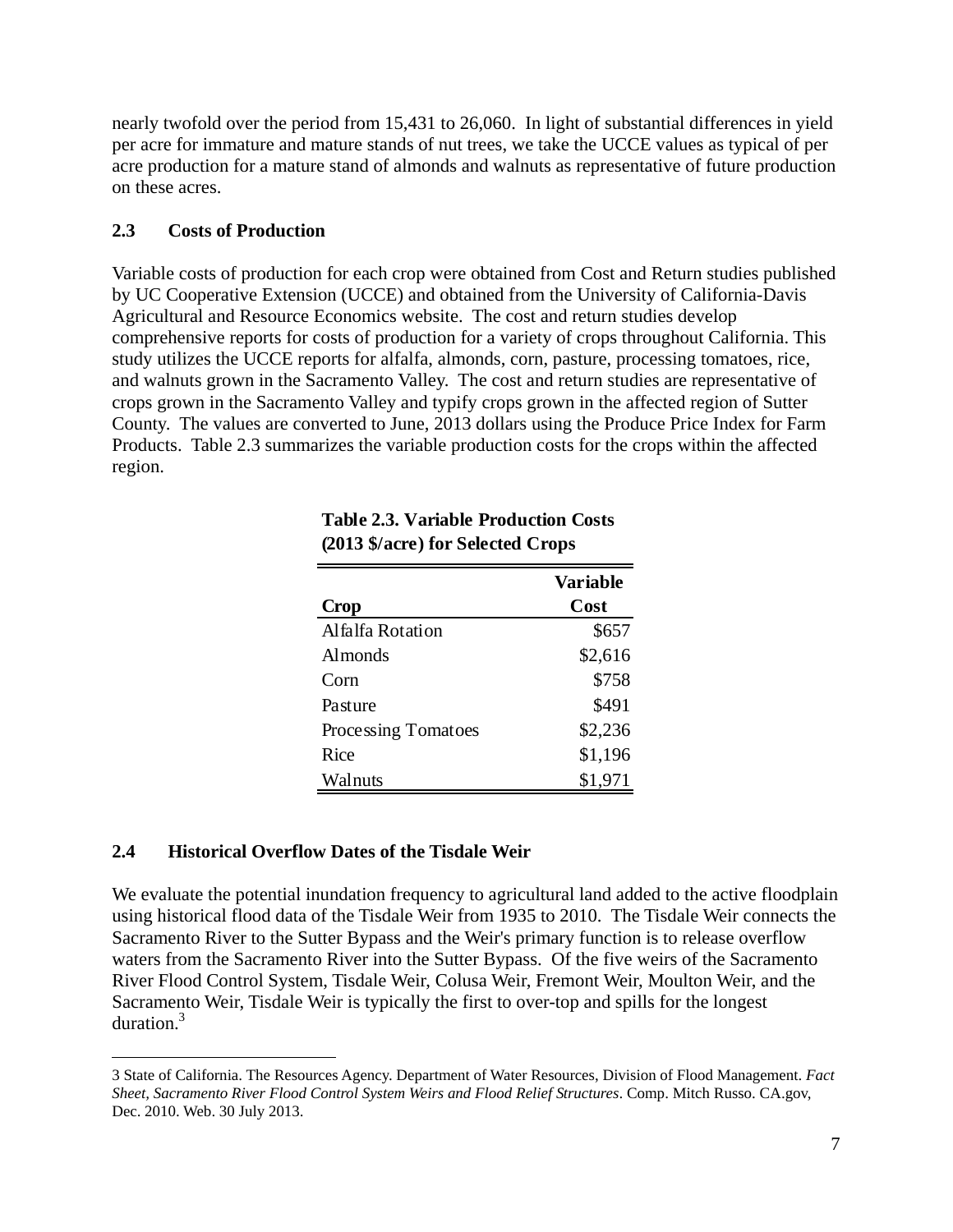nearly twofold over the period from 15,431 to 26,060. In light of substantial differences in yield per acre for immature and mature stands of nut trees, we take the UCCE values as typical of per acre production for a mature stand of almonds and walnuts as representative of future production on these acres.

### **2.3 Costs of Production**

Variable costs of production for each crop were obtained from Cost and Return studies published by UC Cooperative Extension (UCCE) and obtained from the University of California-Davis Agricultural and Resource Economics website. The cost and return studies develop comprehensive reports for costs of production for a variety of crops throughout California. This study utilizes the UCCE reports for alfalfa, almonds, corn, pasture, processing tomatoes, rice, and walnuts grown in the Sacramento Valley. The cost and return studies are representative of crops grown in the Sacramento Valley and typify crops grown in the affected region of Sutter County. The values are converted to June, 2013 dollars using the Produce Price Index for Farm Products. Table 2.3 summarizes the variable production costs for the crops within the affected region.

| <b>Crop</b>         | <b>Variable</b><br>Cost |
|---------------------|-------------------------|
| Alfalfa Rotation    | \$657                   |
| <b>Almonds</b>      | \$2,616                 |
| Corn                | \$758                   |
| Pasture             | \$491                   |
| Processing Tomatoes | \$2,236                 |
| Rice                | \$1,196                 |
| Walnuts             | \$1,971                 |

#### **Table 2.3. Variable Production Costs (2013 \$/acre) for Selected Crops**

# **2.4 Historical Overflow Dates of the Tisdale Weir**

 $\overline{a}$ 

We evaluate the potential inundation frequency to agricultural land added to the active floodplain using historical flood data of the Tisdale Weir from 1935 to 2010. The Tisdale Weir connects the Sacramento River to the Sutter Bypass and the Weir's primary function is to release overflow waters from the Sacramento River into the Sutter Bypass. Of the five weirs of the Sacramento River Flood Control System, Tisdale Weir, Colusa Weir, Fremont Weir, Moulton Weir, and the Sacramento Weir, Tisdale Weir is typically the first to over-top and spills for the longest duration.<sup>3</sup>

<sup>3</sup> State of California. The Resources Agency. Department of Water Resources, Division of Flood Management. *Fact Sheet, Sacramento River Flood Control System Weirs and Flood Relief Structures*. Comp. Mitch Russo. CA.gov, Dec. 2010. Web. 30 July 2013.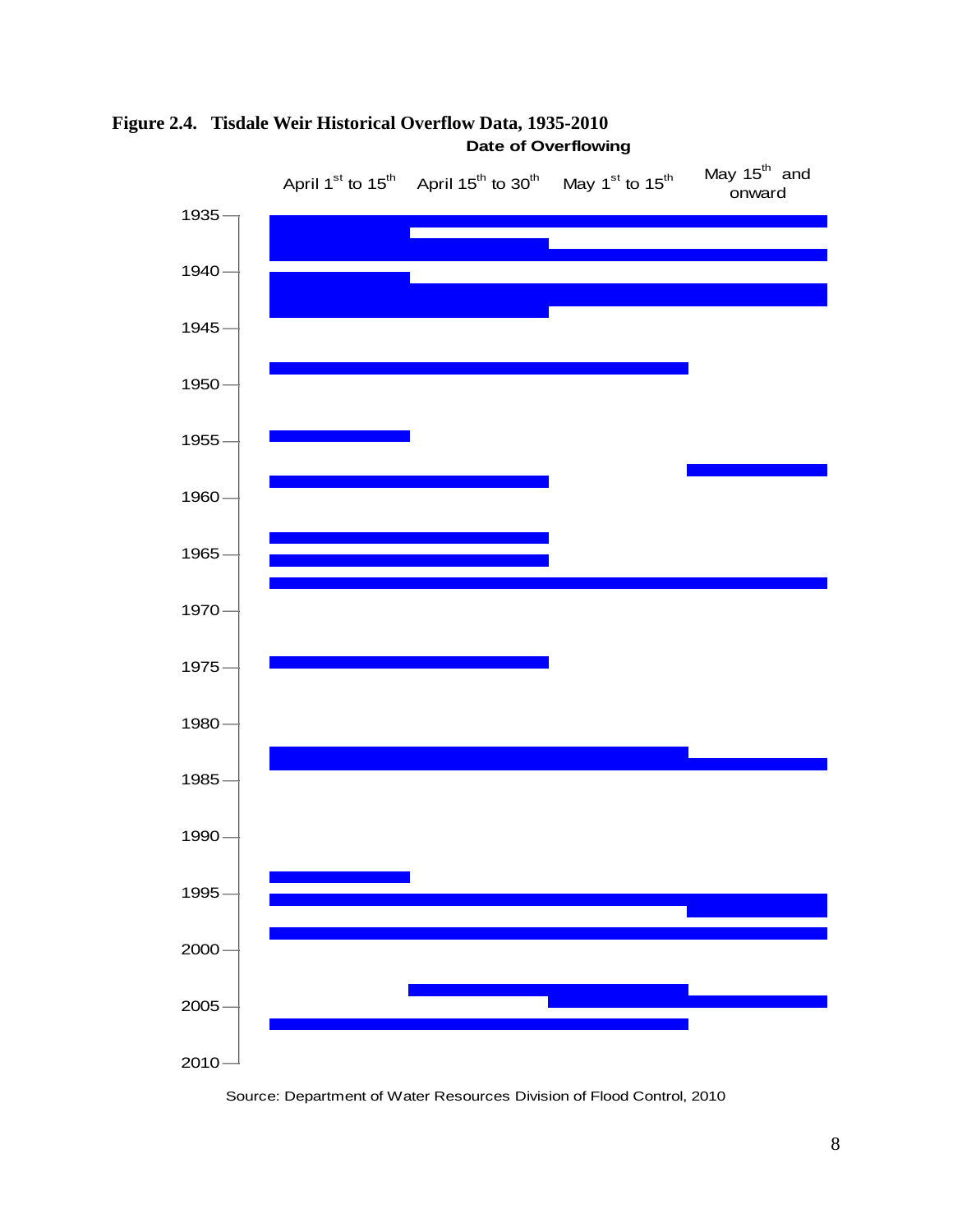

**Figure 2.4. Tisdale Weir Historical Overflow Data, 1935-2010 Date of Overflowing**

Source: Department of Water Resources Division of Flood Control, 2010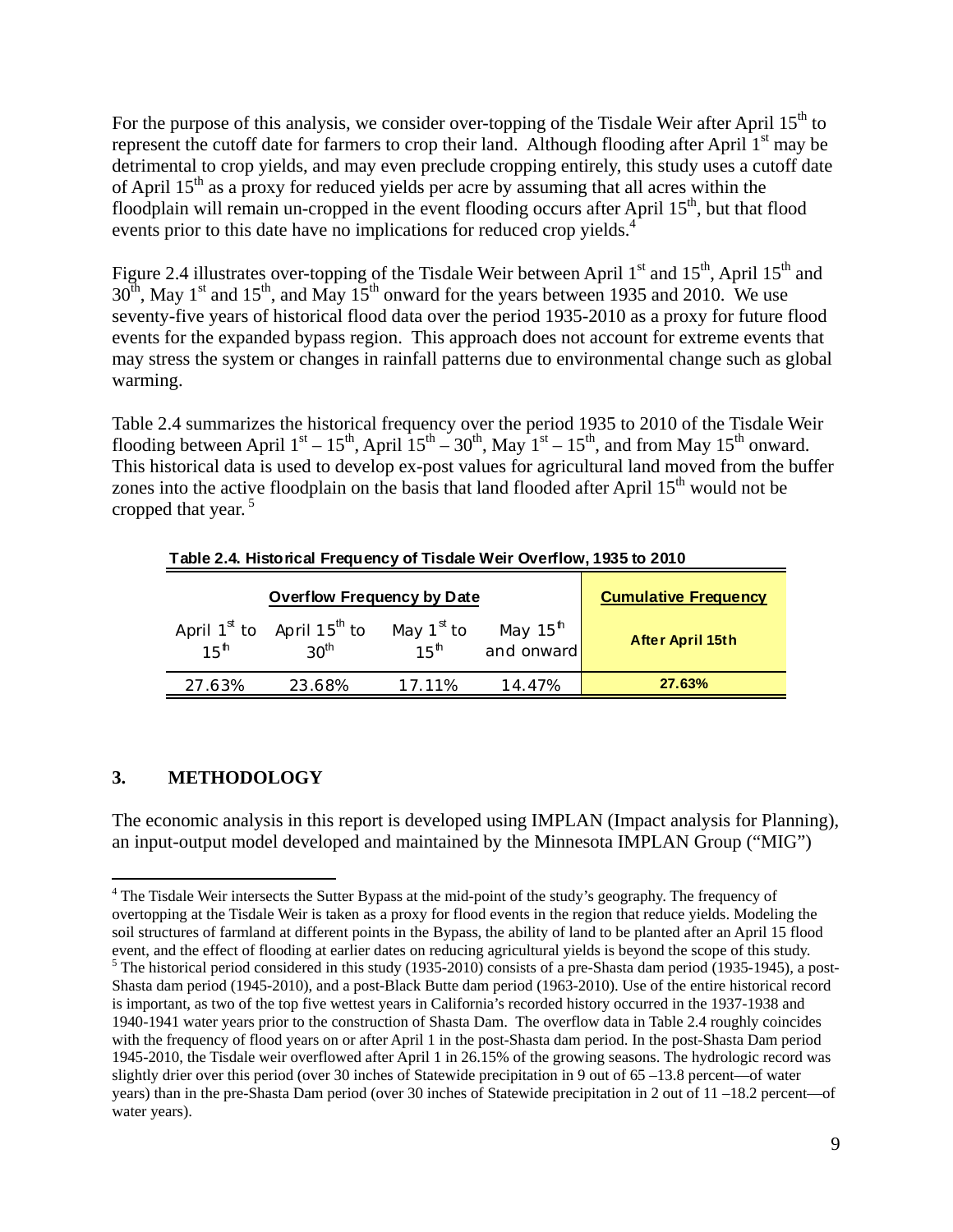For the purpose of this analysis, we consider over-topping of the Tisdale Weir after April 15<sup>th</sup> to represent the cutoff date for farmers to crop their land. Although flooding after April 1<sup>st</sup> may be detrimental to crop yields, and may even preclude cropping entirely, this study uses a cutoff date of April  $15<sup>th</sup>$  as a proxy for reduced yields per acre by assuming that all acres within the floodplain will remain un-cropped in the event flooding occurs after April  $15<sup>th</sup>$ , but that flood events prior to this date have no implications for reduced crop yields.<sup>4</sup>

Figure 2.4 illustrates over-topping of the Tisdale Weir between April  $1<sup>st</sup>$  and  $15<sup>th</sup>$ , April  $15<sup>th</sup>$  and  $30<sup>th</sup>$ , May 1<sup>st</sup> and 15<sup>th</sup>, and May 15<sup>th</sup> onward for the years between 1935 and 2010. We use seventy-five years of historical flood data over the period 1935-2010 as a proxy for future flood events for the expanded bypass region. This approach does not account for extreme events that may stress the system or changes in rainfall patterns due to environmental change such as global warming.

Table 2.4 summarizes the historical frequency over the period 1935 to 2010 of the Tisdale Weir flooding between April  $1<sup>st</sup> - 15<sup>th</sup>$ , April  $15<sup>th</sup> - 30<sup>th</sup>$ , May  $1<sup>st</sup> - 15<sup>th</sup>$ , and from May  $15<sup>th</sup>$  onward. This historical data is used to develop ex-post values for agricultural land moved from the buffer zones into the active floodplain on the basis that land flooded after April  $15<sup>th</sup>$  would not be cropped that year.<sup>5</sup>

|                  | <b>Overflow Frequency by Date</b>                        | <b>Cumulative Frequency</b>                |                                    |                  |
|------------------|----------------------------------------------------------|--------------------------------------------|------------------------------------|------------------|
| 15 <sup>th</sup> | April $1^{st}$ to April $15^{th}$ to<br>30 <sup>th</sup> | May 1 <sup>st</sup> to<br>15 <sup>th</sup> | May 15 <sup>th</sup><br>and onward | After April 15th |
| 27.63%           | 23.68%                                                   | 17 11%                                     | 14.47%                             | 27.63%           |

**Table 2.4. Historical Frequency of Tisdale Weir Overflow, 1935 to 2010**

# **3. METHODOLOGY**

1

The economic analysis in this report is developed using IMPLAN (Impact analysis for Planning), an input-output model developed and maintained by the Minnesota IMPLAN Group ("MIG")

<sup>&</sup>lt;sup>4</sup> The Tisdale Weir intersects the Sutter Bypass at the mid-point of the study's geography. The frequency of overtopping at the Tisdale Weir is taken as a proxy for flood events in the region that reduce yields. Modeling the soil structures of farmland at different points in the Bypass, the ability of land to be planted after an April 15 flood event, and the effect of flooding at earlier dates on reducing agricultural yields is beyond the scope of this study. <sup>5</sup> The historical period considered in this study (1935-2010) consists of a pre-Shasta dam period (1935-1945), a post-Shasta dam period (1945-2010), and a post-Black Butte dam period (1963-2010). Use of the entire historical record is important, as two of the top five wettest years in California's recorded history occurred in the 1937-1938 and 1940-1941 water years prior to the construction of Shasta Dam. The overflow data in Table 2.4 roughly coincides with the frequency of flood years on or after April 1 in the post-Shasta dam period. In the post-Shasta Dam period 1945-2010, the Tisdale weir overflowed after April 1 in 26.15% of the growing seasons. The hydrologic record was slightly drier over this period (over 30 inches of Statewide precipitation in 9 out of 65 –13.8 percent—of water years) than in the pre-Shasta Dam period (over 30 inches of Statewide precipitation in 2 out of 11 –18.2 percent—of water years).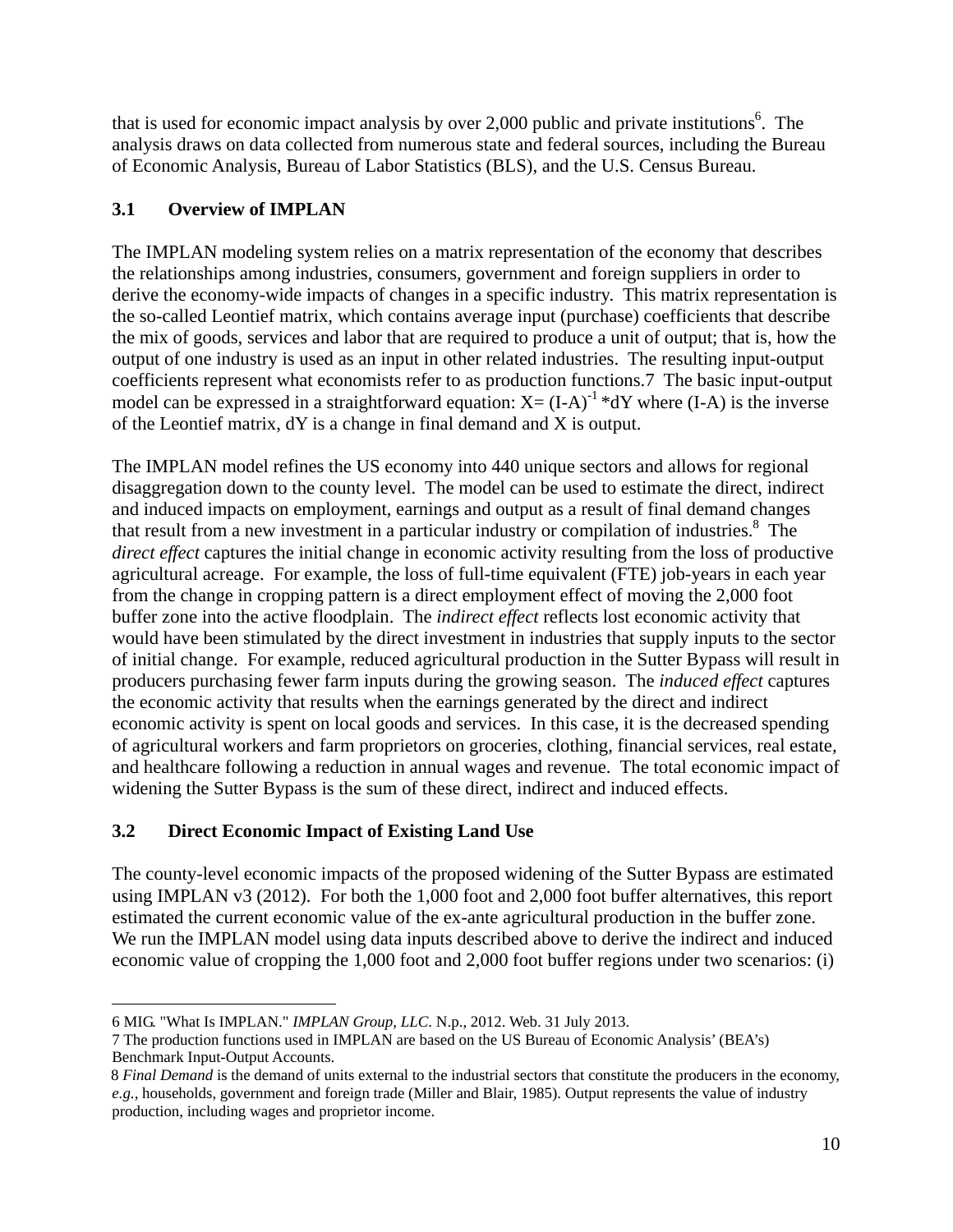that is used for economic impact analysis by over 2,000 public and private institutions<sup>6</sup>. The analysis draws on data collected from numerous state and federal sources, including the Bureau of Economic Analysis, Bureau of Labor Statistics (BLS), and the U.S. Census Bureau.

# **3.1 Overview of IMPLAN**

The IMPLAN modeling system relies on a matrix representation of the economy that describes the relationships among industries, consumers, government and foreign suppliers in order to derive the economy-wide impacts of changes in a specific industry. This matrix representation is the so-called Leontief matrix, which contains average input (purchase) coefficients that describe the mix of goods, services and labor that are required to produce a unit of output; that is, how the output of one industry is used as an input in other related industries. The resulting input-output coefficients represent what economists refer to as production functions.7 The basic input-output model can be expressed in a straightforward equation:  $X = (I-A)^{-1} * dY$  where  $(I-A)$  is the inverse of the Leontief matrix, dY is a change in final demand and X is output.

The IMPLAN model refines the US economy into 440 unique sectors and allows for regional disaggregation down to the county level. The model can be used to estimate the direct, indirect and induced impacts on employment, earnings and output as a result of final demand changes that result from a new investment in a particular industry or compilation of industries.<sup>8</sup> The *direct effect* captures the initial change in economic activity resulting from the loss of productive agricultural acreage. For example, the loss of full-time equivalent (FTE) job-years in each year from the change in cropping pattern is a direct employment effect of moving the 2,000 foot buffer zone into the active floodplain. The *indirect effect* reflects lost economic activity that would have been stimulated by the direct investment in industries that supply inputs to the sector of initial change. For example, reduced agricultural production in the Sutter Bypass will result in producers purchasing fewer farm inputs during the growing season. The *induced effect* captures the economic activity that results when the earnings generated by the direct and indirect economic activity is spent on local goods and services. In this case, it is the decreased spending of agricultural workers and farm proprietors on groceries, clothing, financial services, real estate, and healthcare following a reduction in annual wages and revenue. The total economic impact of widening the Sutter Bypass is the sum of these direct, indirect and induced effects.

# **3.2 Direct Economic Impact of Existing Land Use**

The county-level economic impacts of the proposed widening of the Sutter Bypass are estimated using IMPLAN v3 (2012). For both the 1,000 foot and 2,000 foot buffer alternatives, this report estimated the current economic value of the ex-ante agricultural production in the buffer zone. We run the IMPLAN model using data inputs described above to derive the indirect and induced economic value of cropping the 1,000 foot and 2,000 foot buffer regions under two scenarios: (i)

 $\overline{a}$ 6 MIG. "What Is IMPLAN." *IMPLAN Group, LLC*. N.p., 2012. Web. 31 July 2013.

<sup>7</sup> The production functions used in IMPLAN are based on the US Bureau of Economic Analysis' (BEA's) Benchmark Input-Output Accounts.

<sup>8</sup> *Final Demand* is the demand of units external to the industrial sectors that constitute the producers in the economy, *e.g.,* households, government and foreign trade (Miller and Blair, 1985). Output represents the value of industry production, including wages and proprietor income.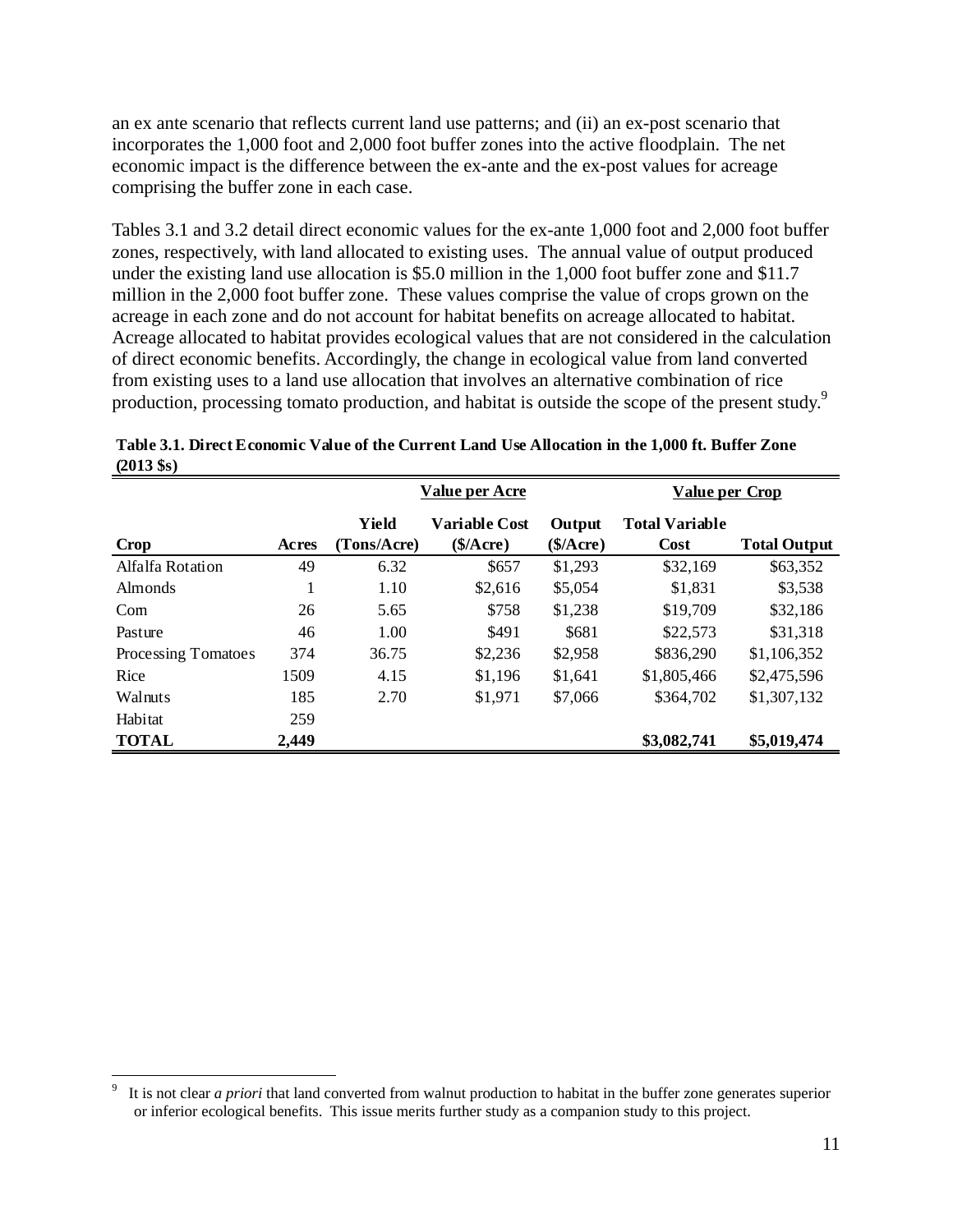an ex ante scenario that reflects current land use patterns; and (ii) an ex-post scenario that incorporates the 1,000 foot and 2,000 foot buffer zones into the active floodplain. The net economic impact is the difference between the ex-ante and the ex-post values for acreage comprising the buffer zone in each case.

Tables 3.1 and 3.2 detail direct economic values for the ex-ante 1,000 foot and 2,000 foot buffer zones, respectively, with land allocated to existing uses. The annual value of output produced under the existing land use allocation is \$5.0 million in the 1,000 foot buffer zone and \$11.7 million in the 2,000 foot buffer zone. These values comprise the value of crops grown on the acreage in each zone and do not account for habitat benefits on acreage allocated to habitat. Acreage allocated to habitat provides ecological values that are not considered in the calculation of direct economic benefits. Accordingly, the change in ecological value from land converted from existing uses to a land use allocation that involves an alternative combination of rice production, processing tomato production, and habitat is outside the scope of the present study.<sup>9</sup>

|                     |       | Value per Acre       |                            |                     | <b>Value per Crop</b>                |                     |
|---------------------|-------|----------------------|----------------------------|---------------------|--------------------------------------|---------------------|
| Crop                | Acres | Yield<br>(Tons/Acre) | Variable Cost<br>(\$/Acre) | Output<br>(\$/Acre) | <b>Total Variable</b><br><b>Cost</b> | <b>Total Output</b> |
| Alfalfa Rotation    | 49    | 6.32                 | \$657                      | \$1,293             | \$32,169                             | \$63,352            |
| Almonds             | -1    | 1.10                 | \$2.616                    | \$5,054             | \$1,831                              | \$3,538             |
| Com                 | 26    | 5.65                 | \$758                      | \$1,238             | \$19,709                             | \$32,186            |
| Pasture             | 46    | 1.00                 | \$491                      | \$681               | \$22,573                             | \$31,318            |
| Processing Tomatoes | 374   | 36.75                | \$2,236                    | \$2,958             | \$836,290                            | \$1,106,352         |
| Rice                | 1509  | 4.15                 | \$1,196                    | \$1,641             | \$1,805,466                          | \$2,475,596         |
| Walnuts             | 185   | 2.70                 | \$1,971                    | \$7,066             | \$364,702                            | \$1,307,132         |
| Habitat             | 259   |                      |                            |                     |                                      |                     |
| <b>TOTAL</b>        | 2,449 |                      |                            |                     | \$3,082,741                          | \$5,019,474         |

**Table 3.1. Direct Economic Value of the Current Land Use Allocation in the 1,000 ft. Buffer Zone (2013 \$s)**

 $\overline{a}$ 

<sup>9</sup> It is not clear *a priori* that land converted from walnut production to habitat in the buffer zone generates superior or inferior ecological benefits. This issue merits further study as a companion study to this project.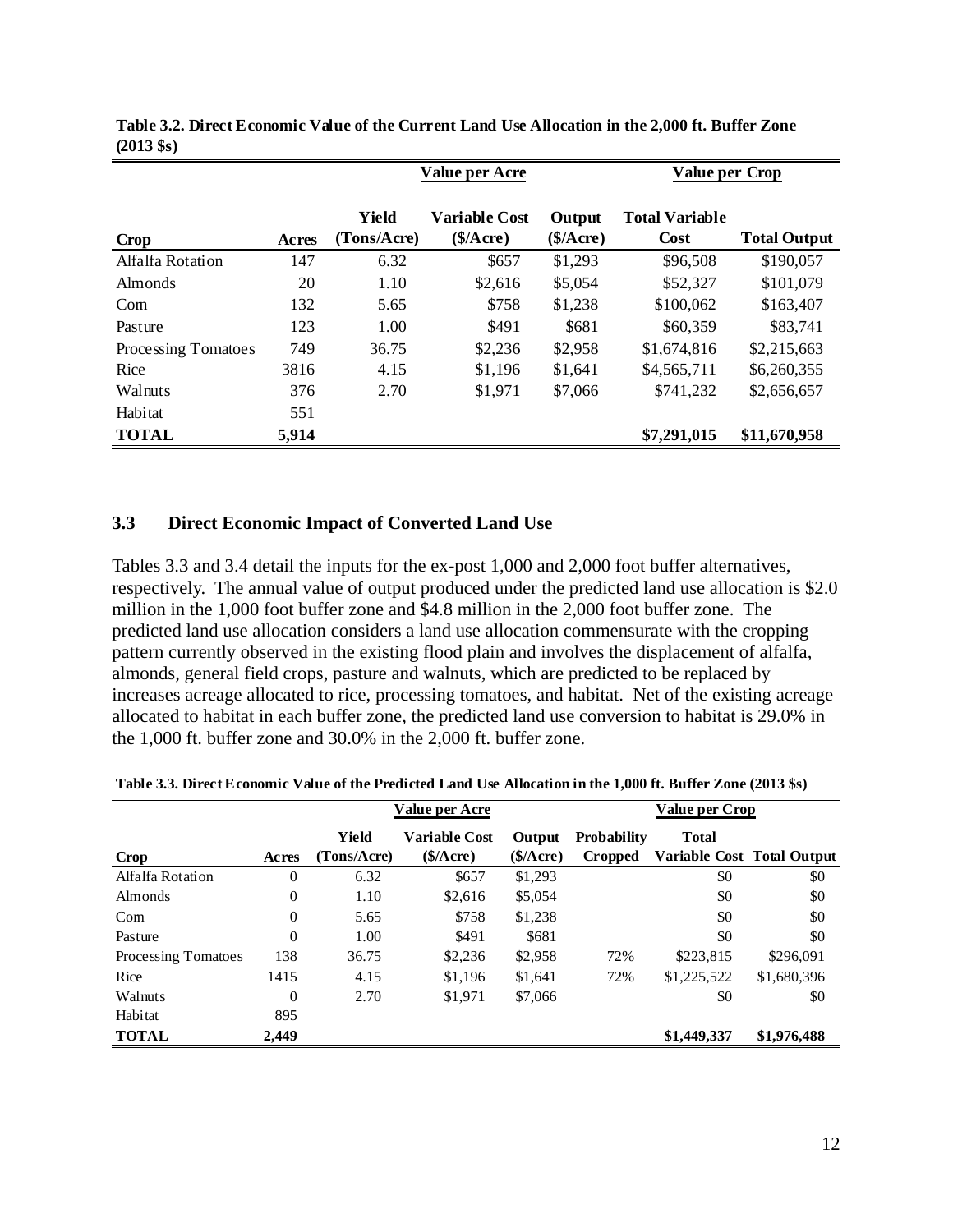|                     |       | Value per Acre       |                                   |                | Value per Crop                       |                     |  |
|---------------------|-------|----------------------|-----------------------------------|----------------|--------------------------------------|---------------------|--|
| Crop                | Acres | Yield<br>(Tons/Acre) | <b>Variable Cost</b><br>(\$/Acre) | Output<br>(\$/ | <b>Total Variable</b><br><b>Cost</b> | <b>Total Output</b> |  |
| Alfalfa Rotation    | 147   | 6.32                 | \$657                             | \$1,293        | \$96,508                             | \$190,057           |  |
| Almonds             | 20    | 1.10                 | \$2,616                           | \$5,054        | \$52,327                             | \$101,079           |  |
| Com                 | 132   | 5.65                 | \$758                             | \$1,238        | \$100,062                            | \$163,407           |  |
| Pasture             | 123   | 1.00                 | \$491                             | \$681          | \$60,359                             | \$83,741            |  |
| Processing Tomatoes | 749   | 36.75                | \$2,236                           | \$2,958        | \$1,674,816                          | \$2,215,663         |  |
| Rice                | 3816  | 4.15                 | \$1,196                           | \$1,641        | \$4,565,711                          | \$6,260,355         |  |
| Walnuts             | 376   | 2.70                 | \$1,971                           | \$7,066        | \$741,232                            | \$2,656,657         |  |
| Habitat             | 551   |                      |                                   |                |                                      |                     |  |
| <b>TOTAL</b>        | 5,914 |                      |                                   |                | \$7,291,015                          | \$11,670,958        |  |

**Table 3.2. Direct Economic Value of the Current Land Use Allocation in the 2,000 ft. Buffer Zone (2013 \$s)**

#### **3.3 Direct Economic Impact of Converted Land Use**

Tables 3.3 and 3.4 detail the inputs for the ex-post 1,000 and 2,000 foot buffer alternatives, respectively. The annual value of output produced under the predicted land use allocation is \$2.0 million in the 1,000 foot buffer zone and \$4.8 million in the 2,000 foot buffer zone. The predicted land use allocation considers a land use allocation commensurate with the cropping pattern currently observed in the existing flood plain and involves the displacement of alfalfa, almonds, general field crops, pasture and walnuts, which are predicted to be replaced by increases acreage allocated to rice, processing tomatoes, and habitat. Net of the existing acreage allocated to habitat in each buffer zone, the predicted land use conversion to habitat is 29.0% in the 1,000 ft. buffer zone and 30.0% in the 2,000 ft. buffer zone.

|                     |                | <b>Value per Acre</b> |                                  |                    |                               | <b>Value per Crop</b>                      |             |
|---------------------|----------------|-----------------------|----------------------------------|--------------------|-------------------------------|--------------------------------------------|-------------|
| Crop                | Acres          | Yield<br>(Tons/Acre)  | <b>Variable Cost</b><br>\$/Acre) | Output<br>\$/Acre) | <b>Probability</b><br>Cropped | <b>Total</b><br>Variable Cost Total Output |             |
| Alfalfa Rotation    | $\overline{0}$ | 6.32                  | \$657                            | \$1,293            |                               | \$0                                        | \$0         |
| <b>Almonds</b>      | $\theta$       | 1.10                  | \$2,616                          | \$5,054            |                               | \$0                                        | \$0         |
| Com                 | $\theta$       | 5.65                  | \$758                            | \$1,238            |                               | \$0                                        | \$0         |
| Pasture             | $\theta$       | 1.00                  | \$491                            | \$681              |                               | \$0                                        | \$0         |
| Processing Tomatoes | 138            | 36.75                 | \$2,236                          | \$2,958            | 72%                           | \$223,815                                  | \$296,091   |
| Rice                | 1415           | 4.15                  | \$1,196                          | \$1,641            | 72%                           | \$1,225,522                                | \$1,680,396 |
| Walnuts             | $\theta$       | 2.70                  | \$1,971                          | \$7,066            |                               | \$0                                        | \$0         |
| Habitat             | 895            |                       |                                  |                    |                               |                                            |             |
| <b>TOTAL</b>        | 2,449          |                       |                                  |                    |                               | \$1,449,337                                | \$1,976,488 |

**Table 3.3. Direct Economic Value of the Predicted Land Use Allocation in the 1,000 ft. Buffer Zone (2013 \$s)**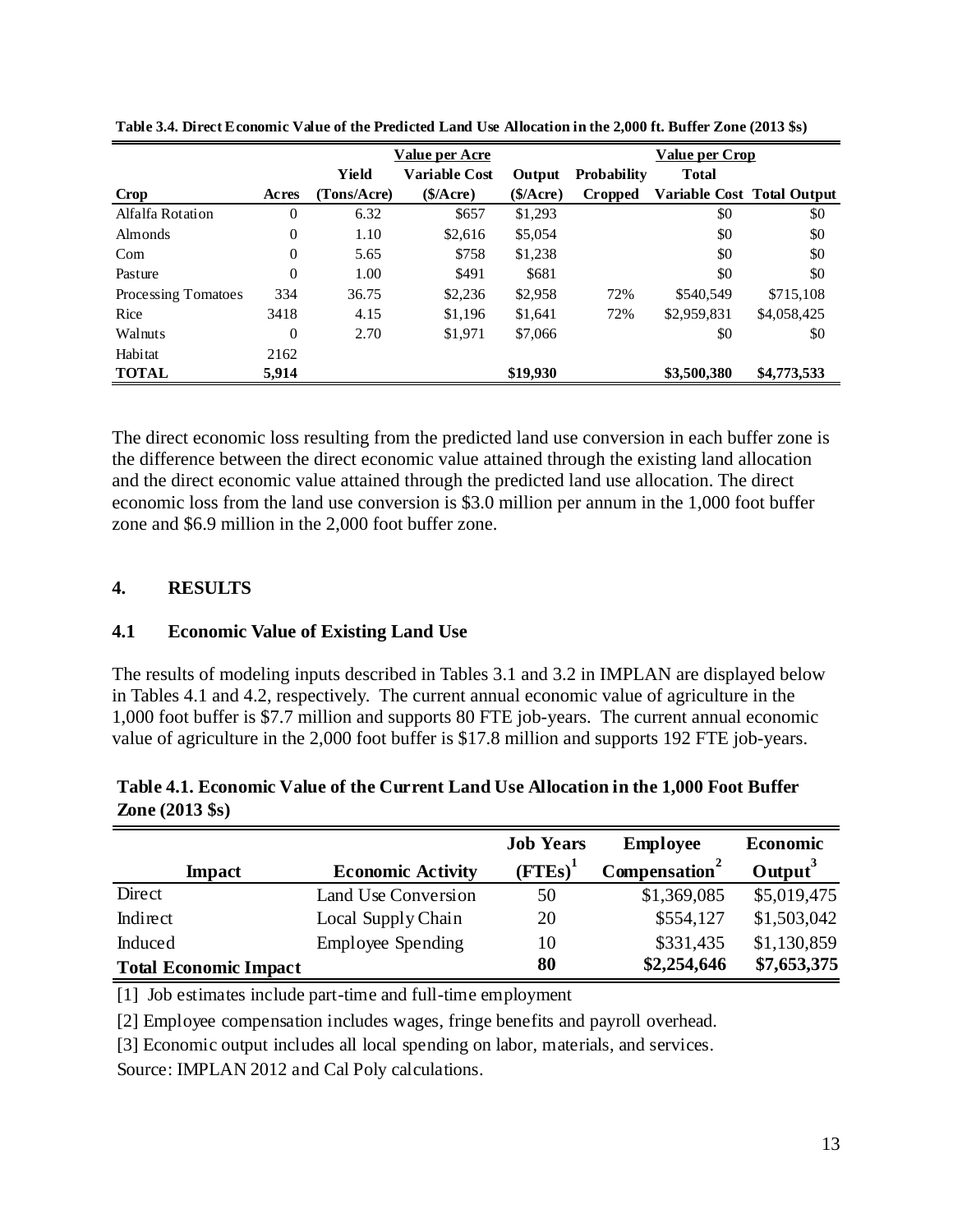|                     |                | <b>Value per Acre</b> |                      |           | <b>Value per Crop</b> |                            |             |  |
|---------------------|----------------|-----------------------|----------------------|-----------|-----------------------|----------------------------|-------------|--|
|                     |                | Yield                 | <b>Variable Cost</b> | Output    | <b>Probability</b>    | <b>Total</b>               |             |  |
| Crop                | Acres          | (Tons/Acre)           | \$/Acre)             | (\$/Acre) | Cropped               | Variable Cost Total Output |             |  |
| Alfalfa Rotation    | 0              | 6.32                  | \$657                | \$1,293   |                       | \$0                        | \$0         |  |
| Almonds             | $\overline{0}$ | 1.10                  | \$2,616              | \$5,054   |                       | \$0                        | \$0         |  |
| Com                 | $\overline{0}$ | 5.65                  | \$758                | \$1,238   |                       | \$0                        | \$0         |  |
| Pasture             | $\overline{0}$ | 1.00                  | \$491                | \$681     |                       | \$0                        | \$0         |  |
| Processing Tomatoes | 334            | 36.75                 | \$2,236              | \$2,958   | 72%                   | \$540,549                  | \$715,108   |  |
| Rice                | 3418           | 4.15                  | \$1.196              | \$1.641   | 72%                   | \$2,959,831                | \$4,058,425 |  |
| Walnuts             | 0              | 2.70                  | \$1,971              | \$7,066   |                       | \$0                        | \$0         |  |
| Habitat             | 2162           |                       |                      |           |                       |                            |             |  |
| <b>TOTAL</b>        | 5,914          |                       |                      | \$19,930  |                       | \$3,500,380                | \$4,773,533 |  |

**Table 3.4. Direct Economic Value of the Predicted Land Use Allocation in the 2,000 ft. Buffer Zone (2013 \$s)**

The direct economic loss resulting from the predicted land use conversion in each buffer zone is the difference between the direct economic value attained through the existing land allocation and the direct economic value attained through the predicted land use allocation. The direct economic loss from the land use conversion is \$3.0 million per annum in the 1,000 foot buffer zone and \$6.9 million in the 2,000 foot buffer zone.

#### **4. RESULTS**

#### **4.1 Economic Value of Existing Land Use**

The results of modeling inputs described in Tables 3.1 and 3.2 in IMPLAN are displayed below in Tables 4.1 and 4.2, respectively. The current annual economic value of agriculture in the 1,000 foot buffer is \$7.7 million and supports 80 FTE job-years. The current annual economic value of agriculture in the 2,000 foot buffer is \$17.8 million and supports 192 FTE job-years.

**Table 4.1. Economic Value of the Current Land Use Allocation in the 1,000 Foot Buffer Zone (2013 \$s)**

|                              |                          | <b>Job Years</b> | <b>Employee</b>           | <b>Economic</b>     |
|------------------------------|--------------------------|------------------|---------------------------|---------------------|
| <b>Impact</b>                | <b>Economic Activity</b> | $(FTEs)^{1}$     | Compensation <sup>2</sup> | Output <sup>3</sup> |
| Direct                       | Land Use Conversion      | 50               | \$1,369,085               | \$5,019,475         |
| Indirect                     | Local Supply Chain       | 20               | \$554,127                 | \$1,503,042         |
| Induced                      | <b>Employee Spending</b> | 10               | \$331,435                 | \$1,130,859         |
| <b>Total Economic Impact</b> |                          | 80               | \$2,254,646               | \$7,653,375         |

[1] Job estimates include part-time and full-time employment

[2] Employee compensation includes wages, fringe benefits and payroll overhead.

[3] Economic output includes all local spending on labor, materials, and services.

Source: IMPLAN 2012 and Cal Poly calculations.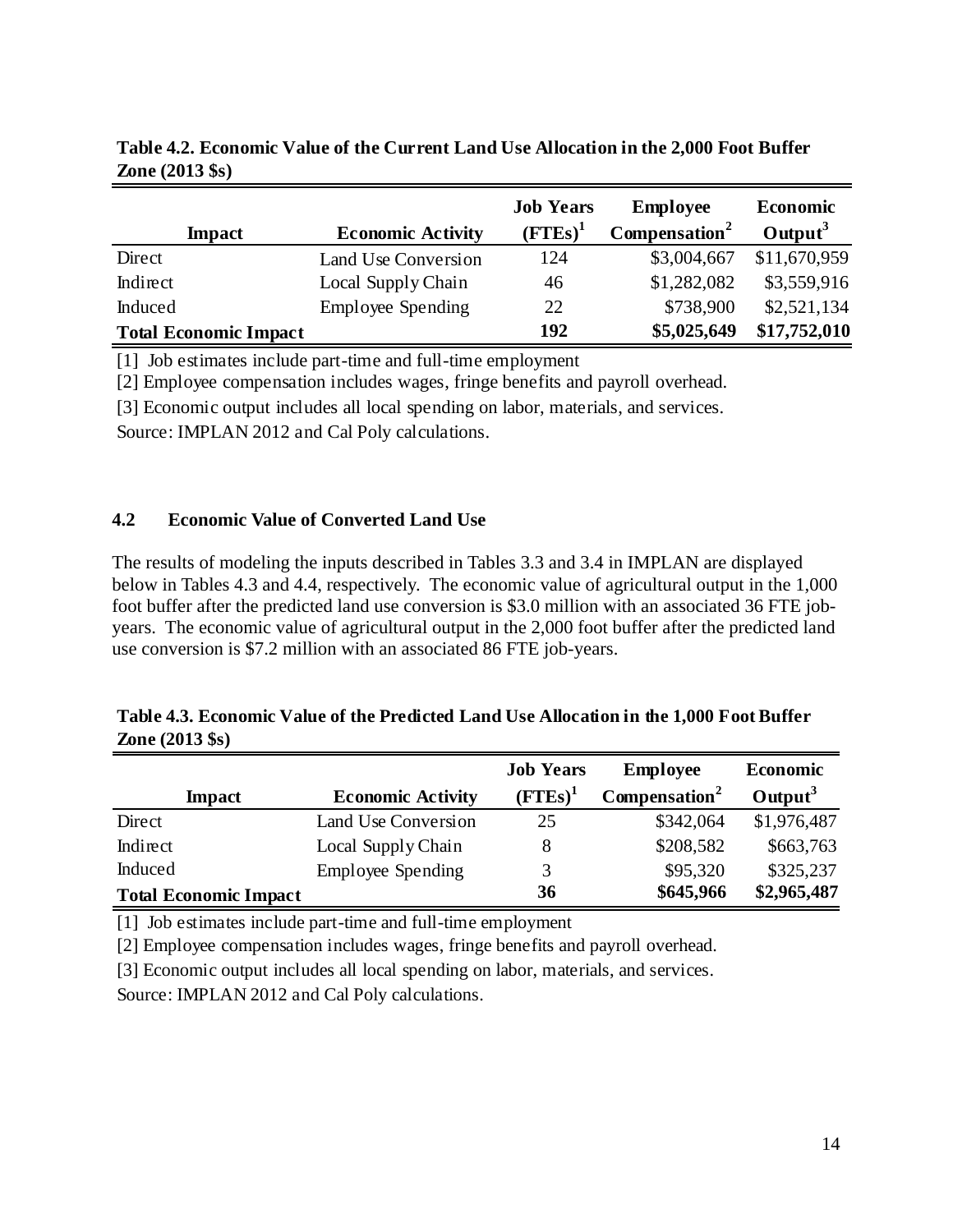|                              |                          | <b>Job Years</b> | <b>Employee</b>           | <b>Economic</b> |
|------------------------------|--------------------------|------------------|---------------------------|-----------------|
| <b>Impact</b>                | <b>Economic Activity</b> | $(FTEs)^1$       | Compensation <sup>2</sup> | $Output^3$      |
| Direct                       | Land Use Conversion      | 124              | \$3,004,667               | \$11,670,959    |
| Indirect                     | Local Supply Chain       | 46               | \$1,282,082               | \$3,559,916     |
| Induced                      | <b>Employee Spending</b> | 22               | \$738,900                 | \$2,521,134     |
| <b>Total Economic Impact</b> |                          | 192              | \$5,025,649               | \$17,752,010    |

**Table 4.2. Economic Value of the Current Land Use Allocation in the 2,000 Foot Buffer Zone (2013 \$s)**

[1] Job estimates include part-time and full-time employment

[2] Employee compensation includes wages, fringe benefits and payroll overhead.

[3] Economic output includes all local spending on labor, materials, and services.

Source: IMPLAN 2012 and Cal Poly calculations.

#### **4.2 Economic Value of Converted Land Use**

The results of modeling the inputs described in Tables 3.3 and 3.4 in IMPLAN are displayed below in Tables 4.3 and 4.4, respectively. The economic value of agricultural output in the 1,000 foot buffer after the predicted land use conversion is \$3.0 million with an associated 36 FTE jobyears. The economic value of agricultural output in the 2,000 foot buffer after the predicted land use conversion is \$7.2 million with an associated 86 FTE job-years.

| Table 4.3. Economic Value of the Predicted Land Use Allocation in the 1,000 Foot Buffer |  |
|-----------------------------------------------------------------------------------------|--|
| <b>Zone</b> $(2013 \text{ }$ \$s)                                                       |  |

|                              |                          | <b>Job Years</b> | <b>Employee</b>           | <b>Economic</b>     |
|------------------------------|--------------------------|------------------|---------------------------|---------------------|
| <b>Impact</b>                | <b>Economic Activity</b> | $(FTEs)^1$       | Compensation <sup>2</sup> | Output <sup>3</sup> |
| Direct                       | Land Use Conversion      | 25               | \$342,064                 | \$1,976,487         |
| Indirect                     | Local Supply Chain       | 8                | \$208,582                 | \$663,763           |
| Induced                      | <b>Employee Spending</b> | 3                | \$95,320                  | \$325,237           |
| <b>Total Economic Impact</b> |                          | 36               | \$645,966                 | \$2,965,487         |

[1] Job estimates include part-time and full-time employment

[2] Employee compensation includes wages, fringe benefits and payroll overhead.

[3] Economic output includes all local spending on labor, materials, and services.

Source: IMPLAN 2012 and Cal Poly calculations.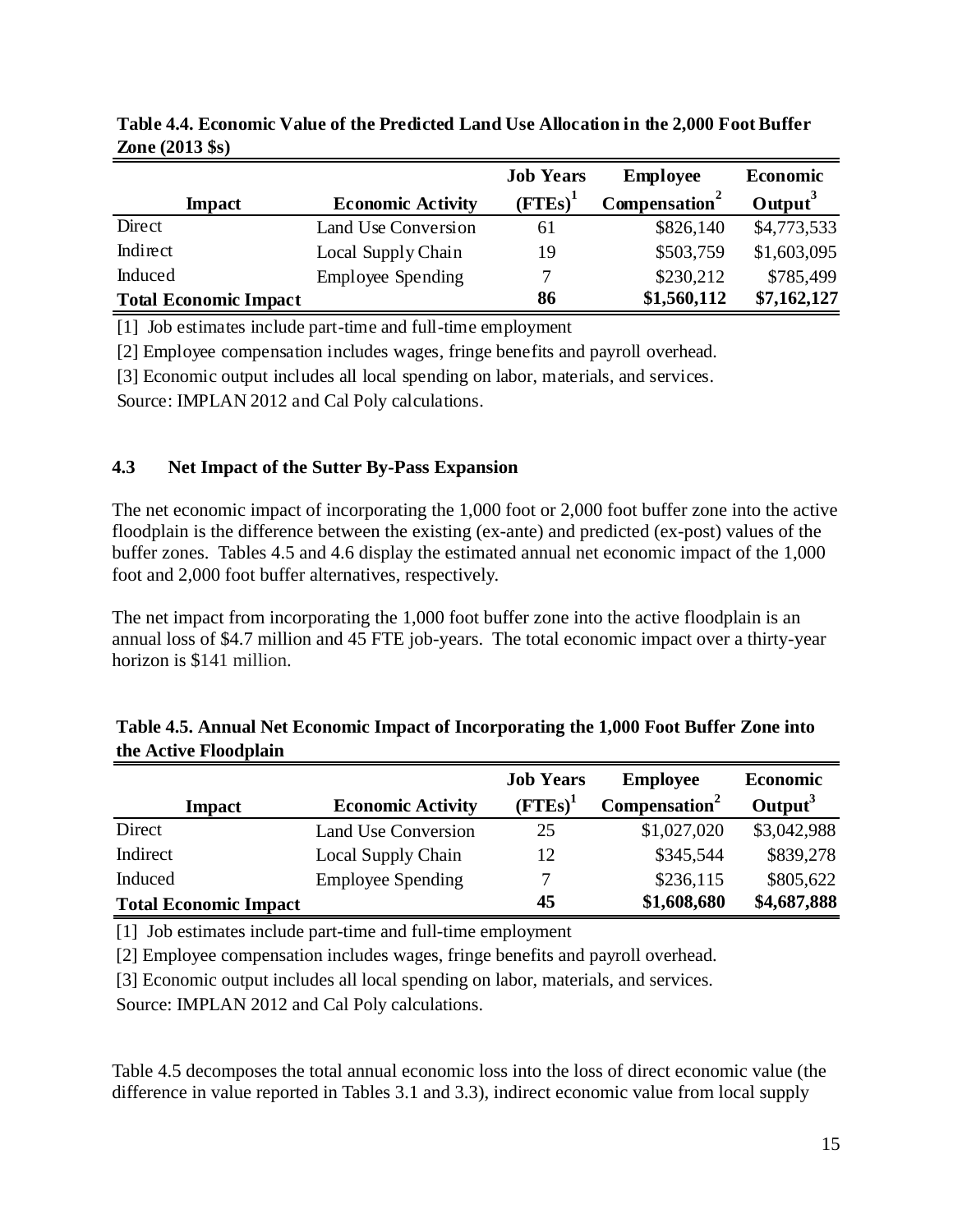|                              |                          | <b>Job Years</b> | <b>Employee</b>           | <b>Economic</b>     |
|------------------------------|--------------------------|------------------|---------------------------|---------------------|
| <b>Impact</b>                | <b>Economic Activity</b> | $(FTEs)^1$       | Compensation <sup>2</sup> | Output <sup>3</sup> |
| Direct                       | Land Use Conversion      | 61               | \$826,140                 | \$4,773,533         |
| Indirect                     | Local Supply Chain       | 19               | \$503,759                 | \$1,603,095         |
| Induced                      | <b>Employee Spending</b> | 7                | \$230,212                 | \$785,499           |
| <b>Total Economic Impact</b> |                          | 86               | \$1,560,112               | \$7,162,127         |

**Table 4.4. Economic Value of the Predicted Land Use Allocation in the 2,000 Foot Buffer Zone (2013 \$s)**

[1] Job estimates include part-time and full-time employment

[2] Employee compensation includes wages, fringe benefits and payroll overhead.

[3] Economic output includes all local spending on labor, materials, and services.

Source: IMPLAN 2012 and Cal Poly calculations.

### **4.3 Net Impact of the Sutter By-Pass Expansion**

The net economic impact of incorporating the 1,000 foot or 2,000 foot buffer zone into the active floodplain is the difference between the existing (ex-ante) and predicted (ex-post) values of the buffer zones. Tables 4.5 and 4.6 display the estimated annual net economic impact of the 1,000 foot and 2,000 foot buffer alternatives, respectively.

The net impact from incorporating the 1,000 foot buffer zone into the active floodplain is an annual loss of \$4.7 million and 45 FTE job-years. The total economic impact over a thirty-year horizon is \$141 million.

|                              |                          | <b>Job Years</b> | <b>Employee</b>           | <b>Economic</b>     |
|------------------------------|--------------------------|------------------|---------------------------|---------------------|
| <b>Impact</b>                | <b>Economic Activity</b> | $(FTEs)^1$       | Compensation <sup>2</sup> | Output <sup>3</sup> |
| Direct                       | Land Use Conversion      | 25               | \$1,027,020               | \$3,042,988         |
| Indirect                     | Local Supply Chain       | 12               | \$345,544                 | \$839,278           |
| Induced                      | <b>Employee Spending</b> | 7                | \$236,115                 | \$805,622           |
| <b>Total Economic Impact</b> |                          | 45               | \$1,608,680               | \$4,687,888         |

**Table 4.5. Annual Net Economic Impact of Incorporating the 1,000 Foot Buffer Zone into the Active Floodplain** 

[1] Job estimates include part-time and full-time employment

[2] Employee compensation includes wages, fringe benefits and payroll overhead.

[3] Economic output includes all local spending on labor, materials, and services.

Source: IMPLAN 2012 and Cal Poly calculations.

Table 4.5 decomposes the total annual economic loss into the loss of direct economic value (the difference in value reported in Tables 3.1 and 3.3), indirect economic value from local supply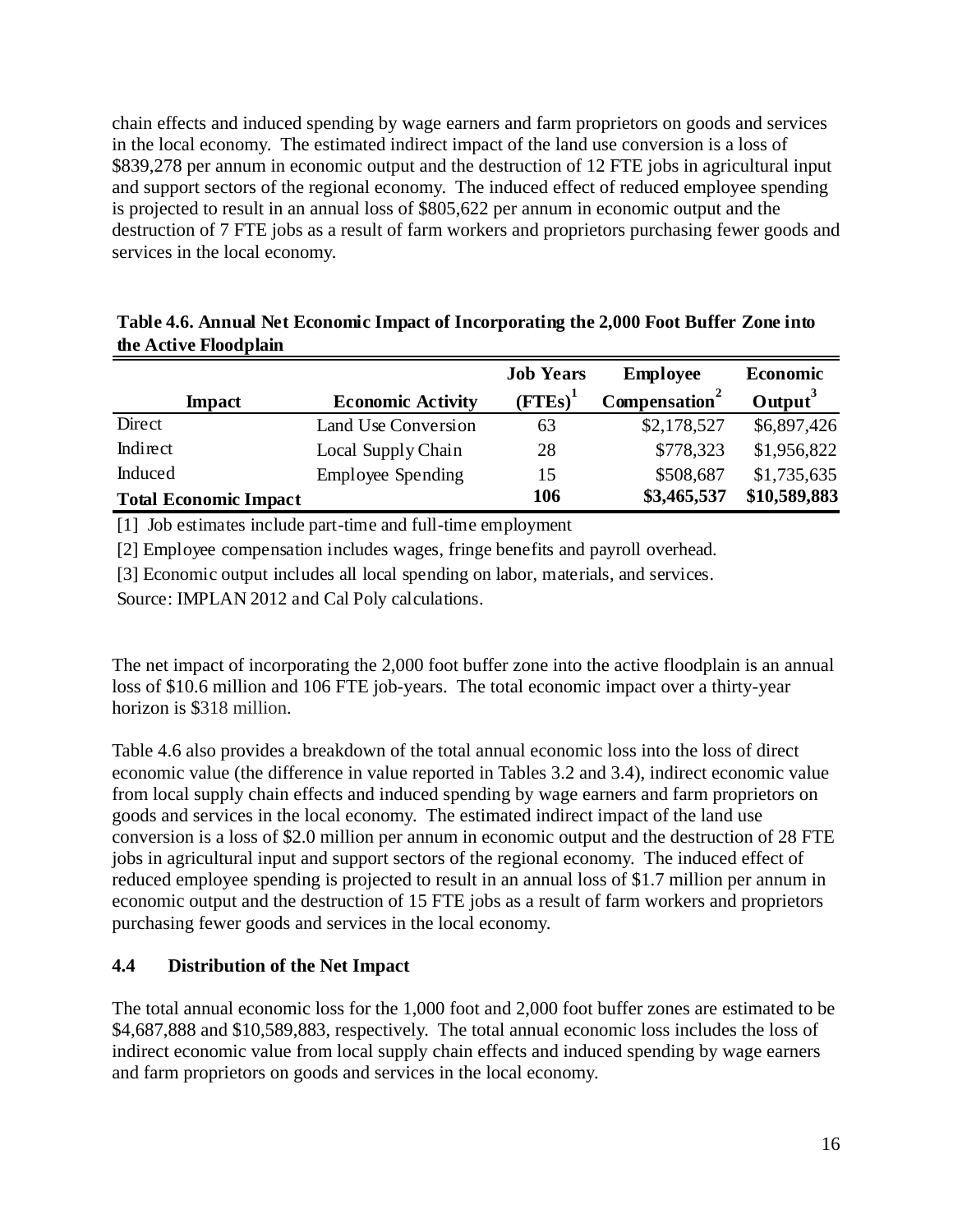chain effects and induced spending by wage earners and farm proprietors on goods and services in the local economy. The estimated indirect impact of the land use conversion is a loss of \$839,278 per annum in economic output and the destruction of 12 FTE jobs in agricultural input and support sectors of the regional economy. The induced effect of reduced employee spending is projected to result in an annual loss of \$805,622 per annum in economic output and the destruction of 7 FTE jobs as a result of farm workers and proprietors purchasing fewer goods and services in the local economy.

|                              |                          | <b>Job Years</b> | <b>Employee</b>           | <b>Economic</b>     |
|------------------------------|--------------------------|------------------|---------------------------|---------------------|
| <b>Impact</b>                | <b>Economic Activity</b> | $(FTEs)^1$       | Compensation <sup>2</sup> | Output <sup>3</sup> |
| Direct                       | Land Use Conversion      | 63               | \$2,178,527               | \$6,897,426         |
| Indirect                     | Local Supply Chain       | 28               | \$778,323                 | \$1,956,822         |
| Induced                      | <b>Employee Spending</b> | 15               | \$508,687                 | \$1,735,635         |
| <b>Total Economic Impact</b> |                          | 106              | \$3,465,537               | \$10,589,883        |

**Table 4.6. Annual Net Economic Impact of Incorporating the 2,000 Foot Buffer Zone into the Active Floodplain** 

[1] Job estimates include part-time and full-time employment

[2] Employee compensation includes wages, fringe benefits and payroll overhead.

[3] Economic output includes all local spending on labor, materials, and services.

Source: IMPLAN 2012 and Cal Poly calculations.

The net impact of incorporating the 2,000 foot buffer zone into the active floodplain is an annual loss of \$10.6 million and 106 FTE job-years. The total economic impact over a thirty-year horizon is \$318 million.

Table 4.6 also provides a breakdown of the total annual economic loss into the loss of direct economic value (the difference in value reported in Tables 3.2 and 3.4), indirect economic value from local supply chain effects and induced spending by wage earners and farm proprietors on goods and services in the local economy. The estimated indirect impact of the land use conversion is a loss of \$2.0 million per annum in economic output and the destruction of 28 FTE jobs in agricultural input and support sectors of the regional economy. The induced effect of reduced employee spending is projected to result in an annual loss of \$1.7 million per annum in economic output and the destruction of 15 FTE jobs as a result of farm workers and proprietors purchasing fewer goods and services in the local economy.

# **4.4 Distribution of the Net Impact**

The total annual economic loss for the 1,000 foot and 2,000 foot buffer zones are estimated to be \$4,687,888 and \$10,589,883, respectively. The total annual economic loss includes the loss of indirect economic value from local supply chain effects and induced spending by wage earners and farm proprietors on goods and services in the local economy.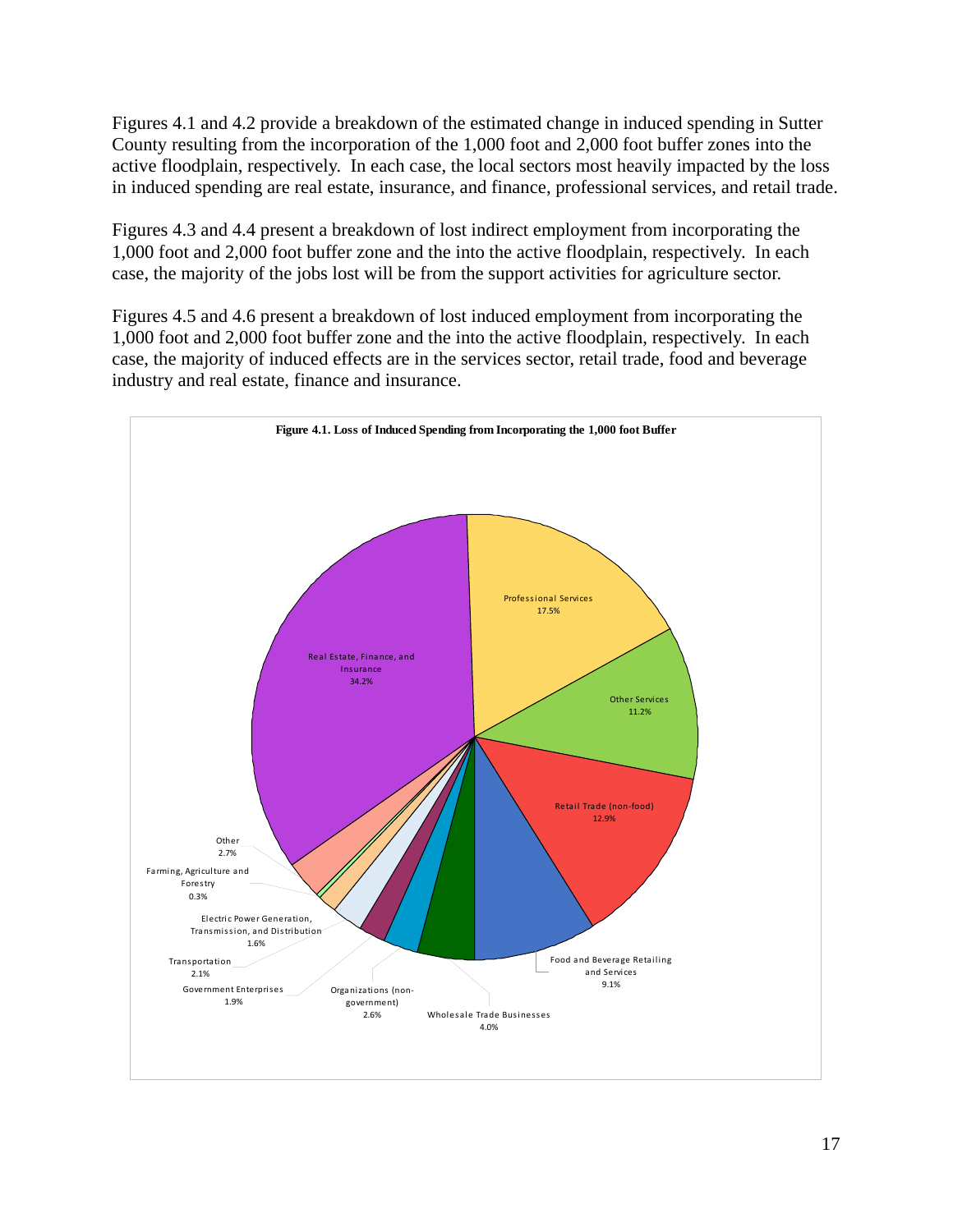Figures 4.1 and 4.2 provide a breakdown of the estimated change in induced spending in Sutter County resulting from the incorporation of the 1,000 foot and 2,000 foot buffer zones into the active floodplain, respectively. In each case, the local sectors most heavily impacted by the loss in induced spending are real estate, insurance, and finance, professional services, and retail trade.

Figures 4.3 and 4.4 present a breakdown of lost indirect employment from incorporating the 1,000 foot and 2,000 foot buffer zone and the into the active floodplain, respectively. In each case, the majority of the jobs lost will be from the support activities for agriculture sector.

Figures 4.5 and 4.6 present a breakdown of lost induced employment from incorporating the 1,000 foot and 2,000 foot buffer zone and the into the active floodplain, respectively. In each case, the majority of induced effects are in the services sector, retail trade, food and beverage industry and real estate, finance and insurance.

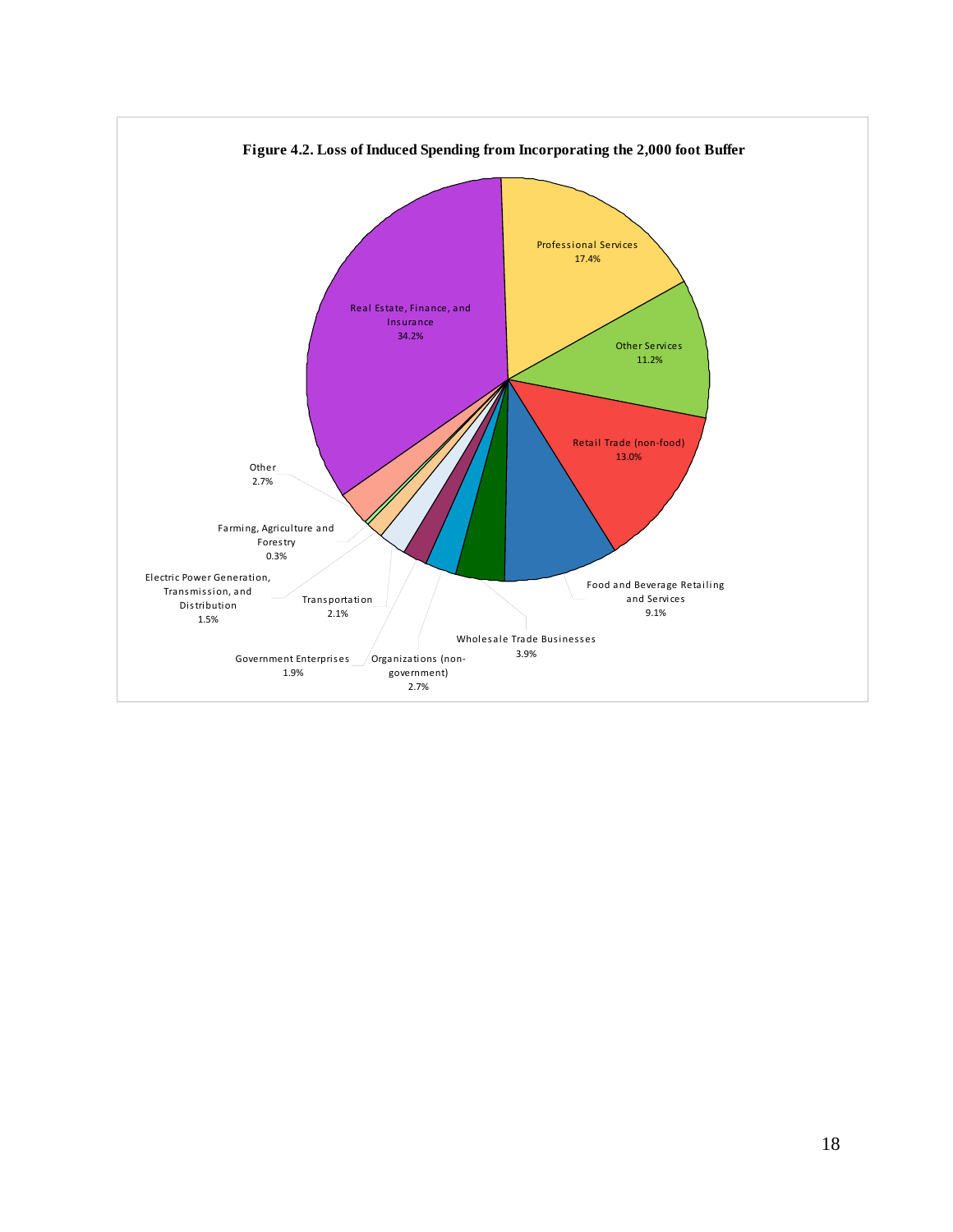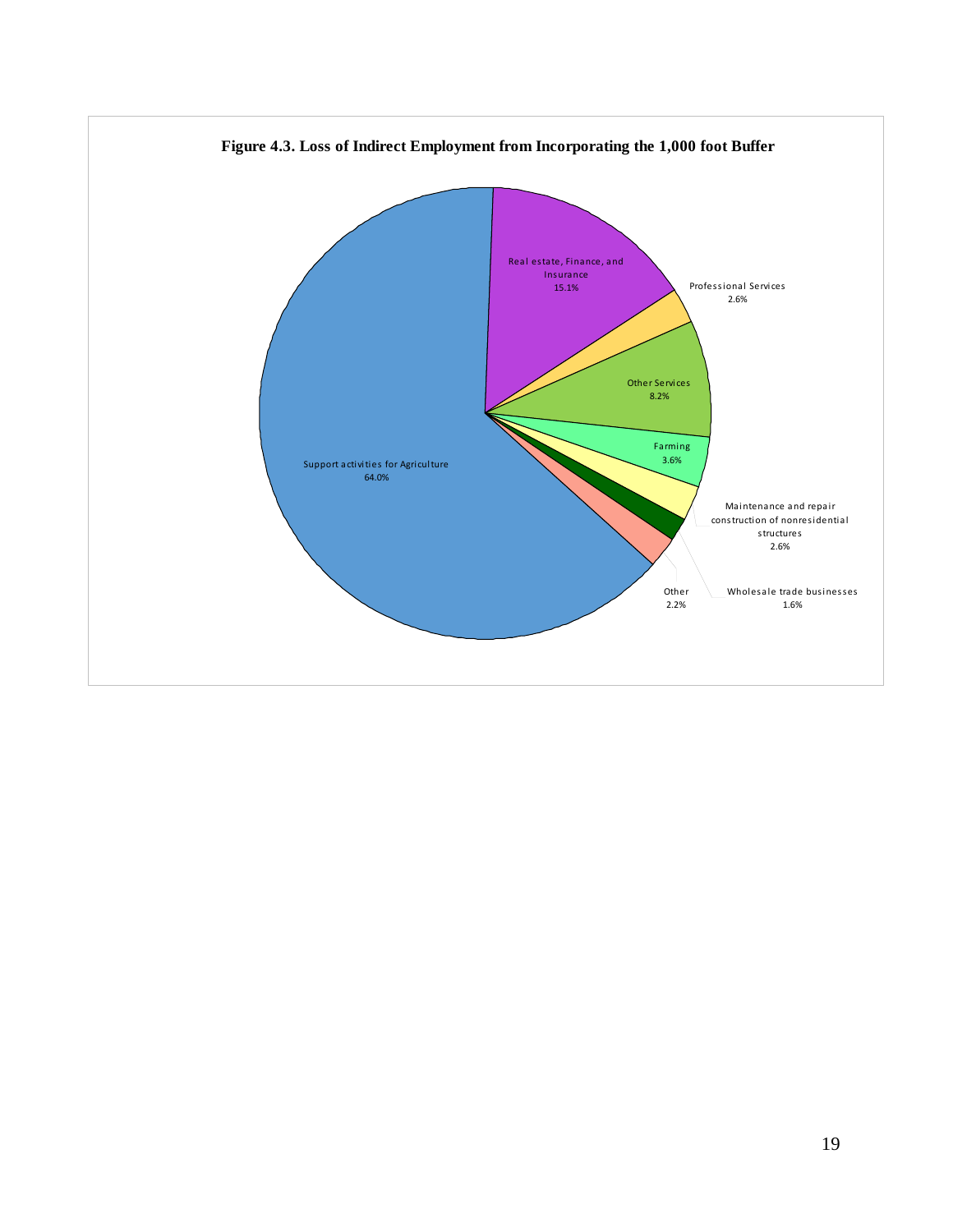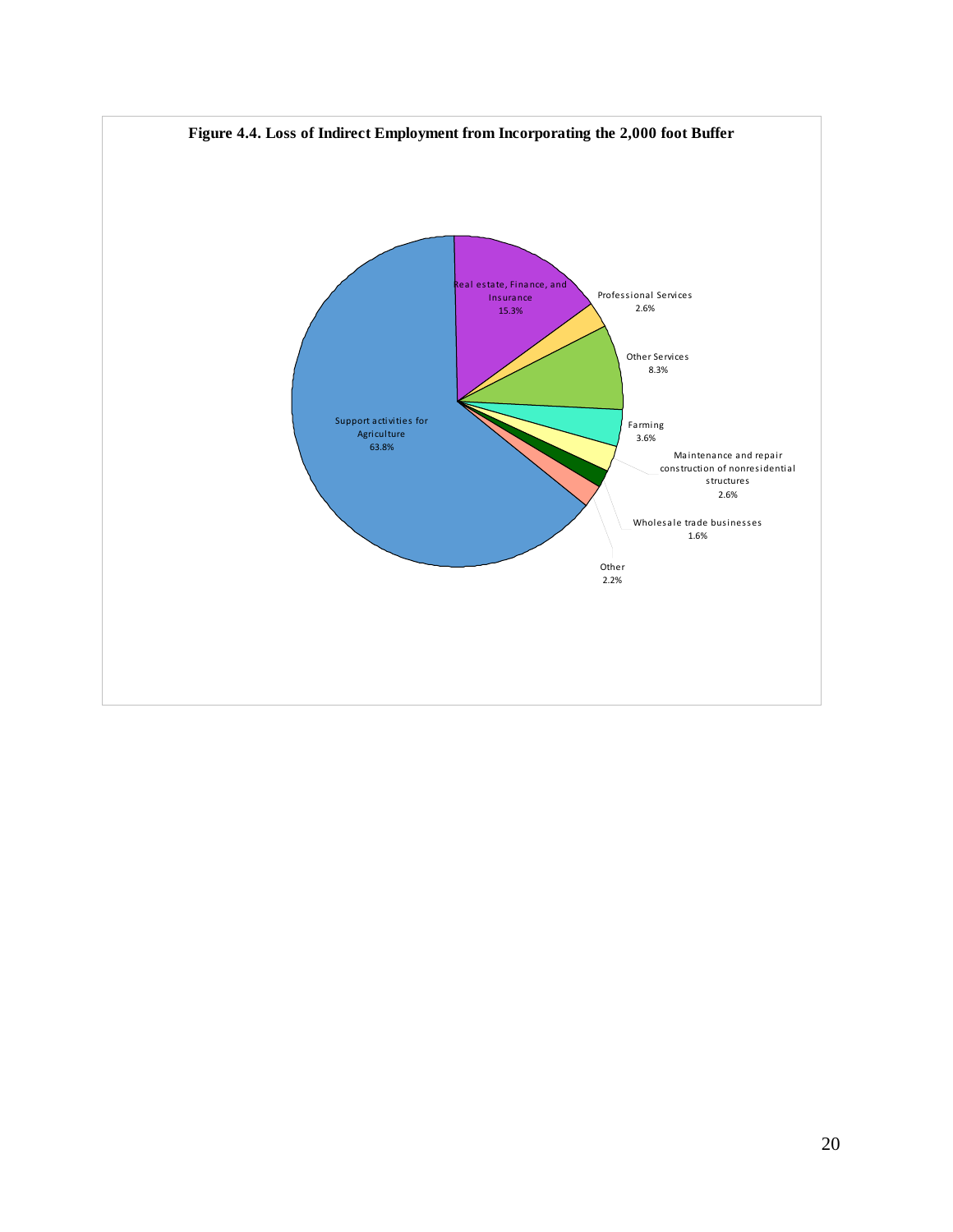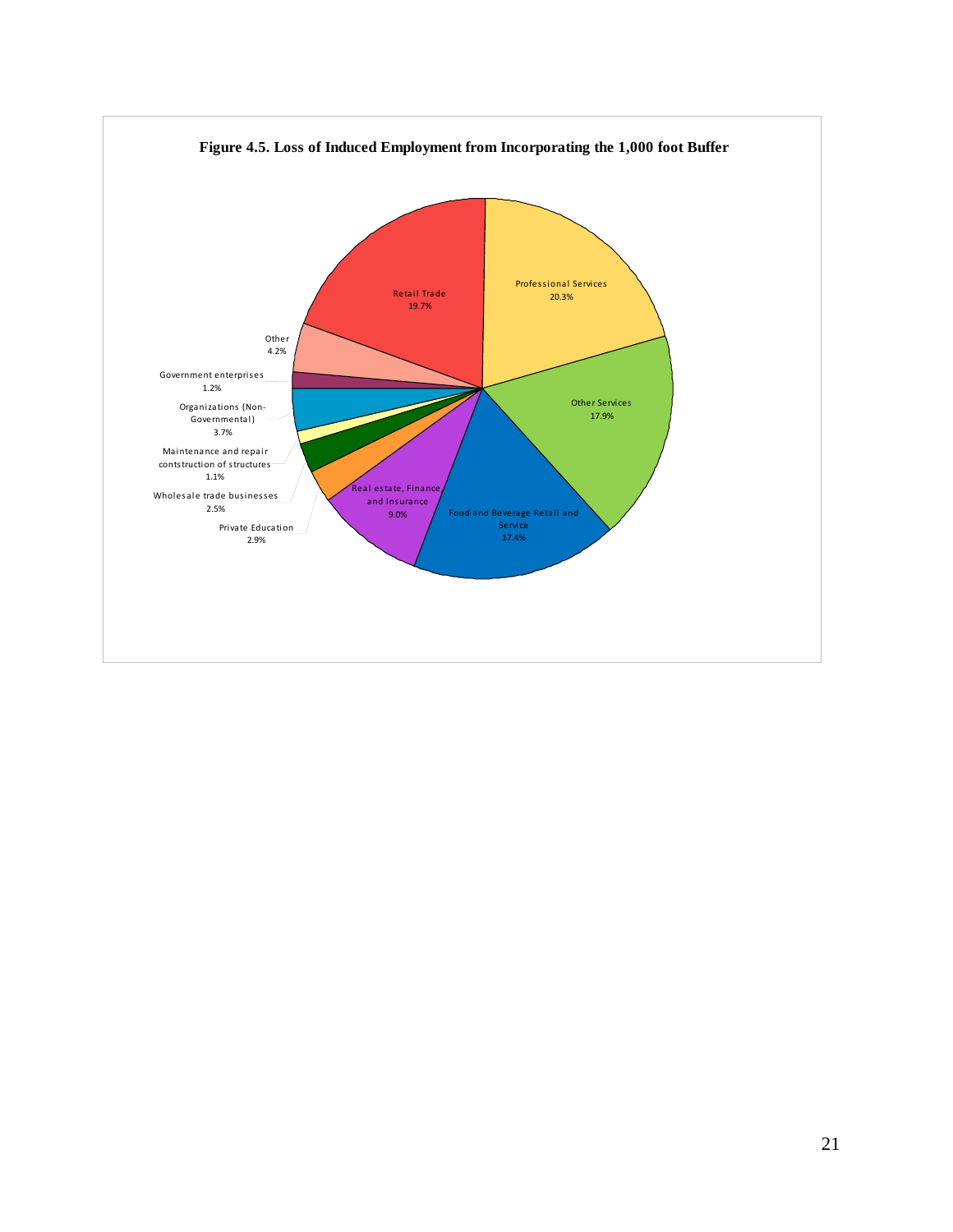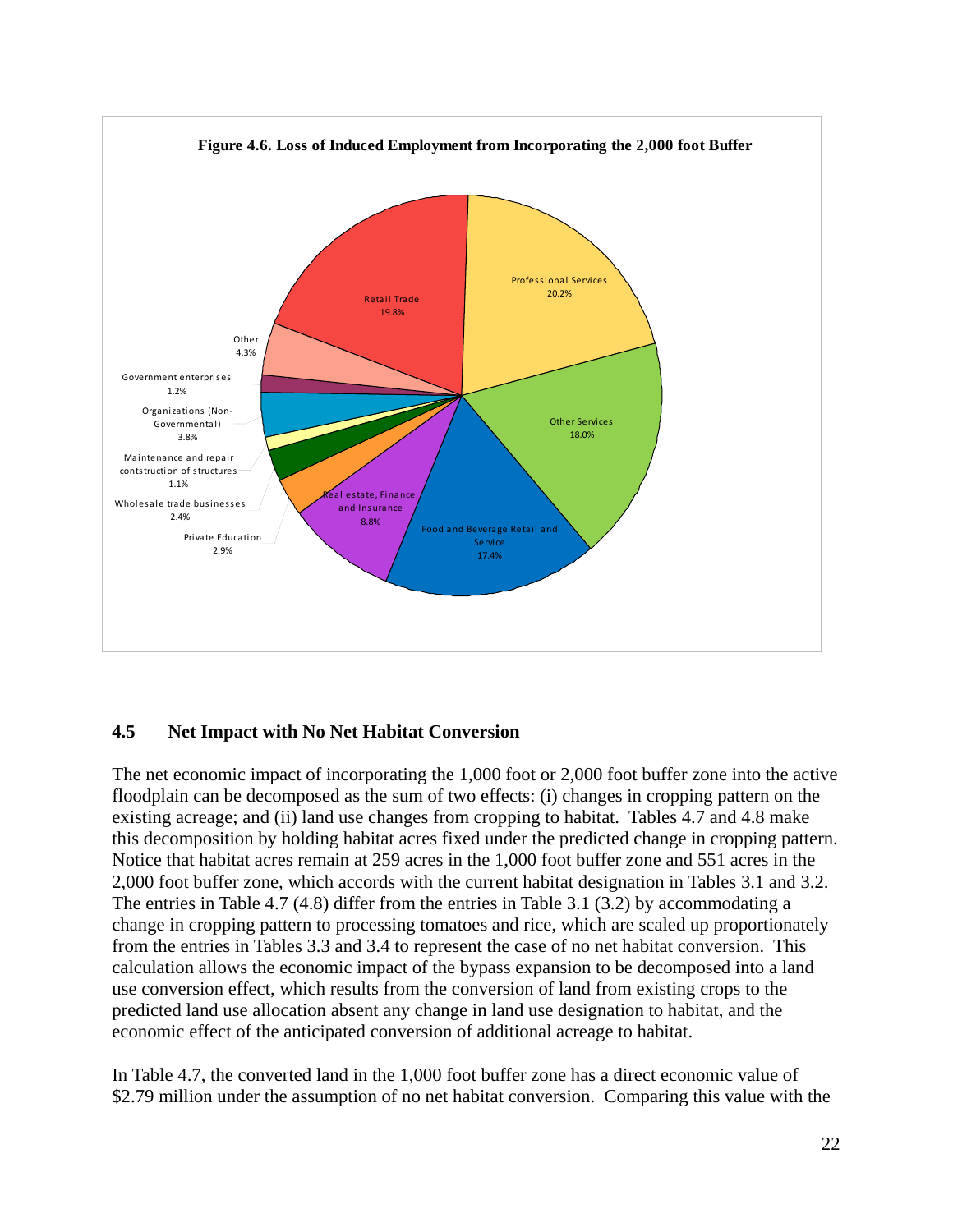

### **4.5 Net Impact with No Net Habitat Conversion**

The net economic impact of incorporating the 1,000 foot or 2,000 foot buffer zone into the active floodplain can be decomposed as the sum of two effects: (i) changes in cropping pattern on the existing acreage; and (ii) land use changes from cropping to habitat. Tables 4.7 and 4.8 make this decomposition by holding habitat acres fixed under the predicted change in cropping pattern. Notice that habitat acres remain at 259 acres in the 1,000 foot buffer zone and 551 acres in the 2,000 foot buffer zone, which accords with the current habitat designation in Tables 3.1 and 3.2. The entries in Table 4.7 (4.8) differ from the entries in Table 3.1 (3.2) by accommodating a change in cropping pattern to processing tomatoes and rice, which are scaled up proportionately from the entries in Tables 3.3 and 3.4 to represent the case of no net habitat conversion. This calculation allows the economic impact of the bypass expansion to be decomposed into a land use conversion effect, which results from the conversion of land from existing crops to the predicted land use allocation absent any change in land use designation to habitat, and the economic effect of the anticipated conversion of additional acreage to habitat.

In Table 4.7, the converted land in the 1,000 foot buffer zone has a direct economic value of \$2.79 million under the assumption of no net habitat conversion. Comparing this value with the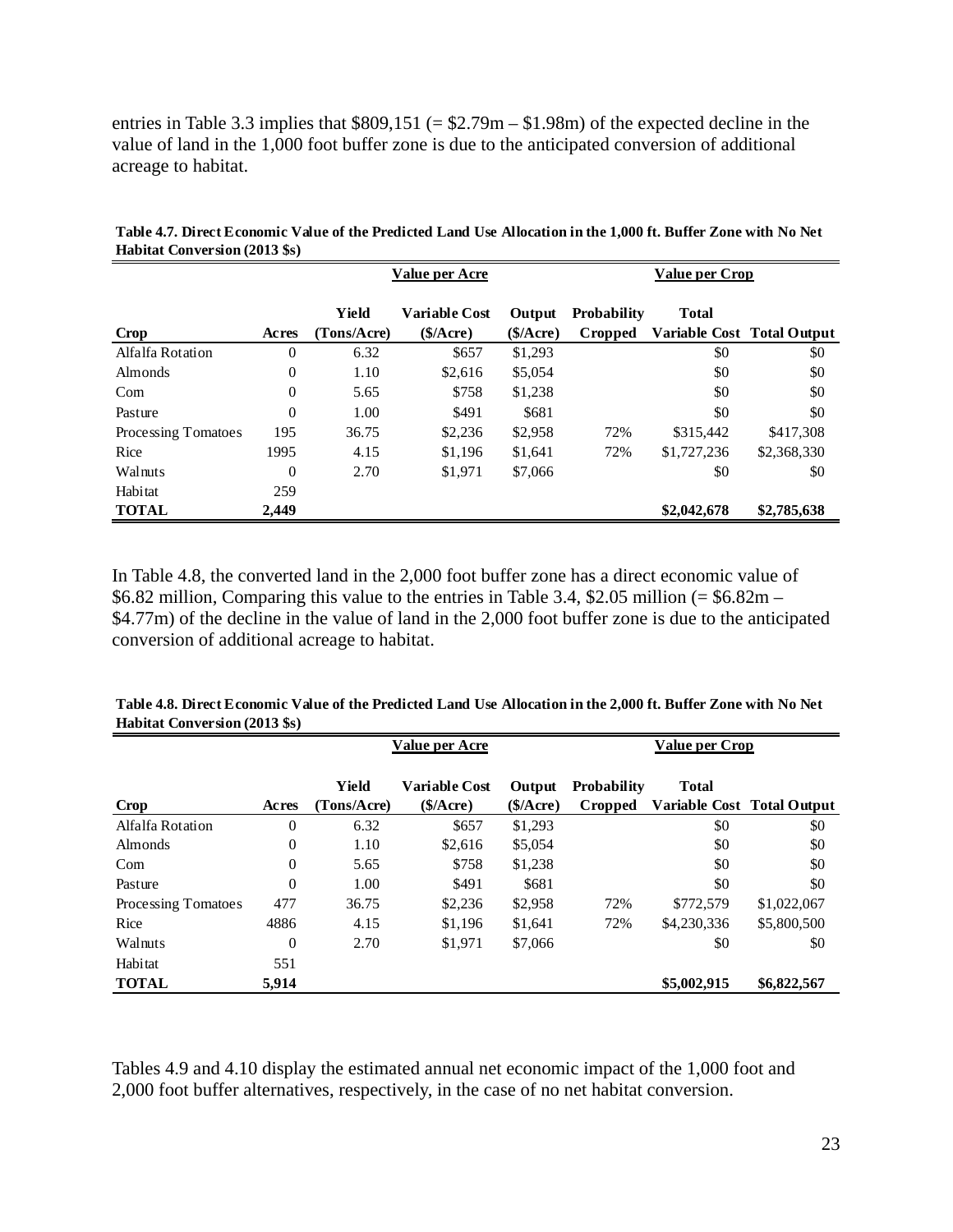entries in Table 3.3 implies that  $$809,151 (= $2.79m - $1.98m)$  of the expected decline in the value of land in the 1,000 foot buffer zone is due to the anticipated conversion of additional acreage to habitat.

|                     |                  | Value per Acre       |                                  |                     |                               | Value per Crop |                            |  |
|---------------------|------------------|----------------------|----------------------------------|---------------------|-------------------------------|----------------|----------------------------|--|
| Crop                | Acres            | Yield<br>(Tons/Acre) | <b>Variable Cost</b><br>\$/Acre) | Output<br>(\$/Area) | <b>Probability</b><br>Cropped | <b>Total</b>   | Variable Cost Total Output |  |
| Alfalfa Rotation    | $\theta$         | 6.32                 | \$657                            | \$1,293             |                               | \$0            | \$0                        |  |
| <b>Almonds</b>      | $\overline{0}$   | 1.10                 | \$2,616                          | \$5,054             |                               | \$0            | \$0                        |  |
| Com                 | $\boldsymbol{0}$ | 5.65                 | \$758                            | \$1,238             |                               | \$0            | \$0                        |  |
| Pasture             | $\overline{0}$   | 1.00                 | \$491                            | \$681               |                               | \$0            | \$0                        |  |
| Processing Tomatoes | 195              | 36.75                | \$2,236                          | \$2,958             | 72%                           | \$315,442      | \$417,308                  |  |
| Rice                | 1995             | 4.15                 | \$1,196                          | \$1,641             | 72%                           | \$1,727,236    | \$2,368,330                |  |
| Walnuts             | $\overline{0}$   | 2.70                 | \$1,971                          | \$7,066             |                               | \$0            | \$0                        |  |
| Habitat             | 259              |                      |                                  |                     |                               |                |                            |  |
| <b>TOTAL</b>        | 2,449            |                      |                                  |                     |                               | \$2,042,678    | \$2,785,638                |  |

**Table 4.7. Direct Economic Value of the Predicted Land Use Allocation in the 1,000 ft. Buffer Zone with No Net Habitat Conversion (2013 \$s)**

In Table 4.8, the converted land in the 2,000 foot buffer zone has a direct economic value of \$6.82 million, Comparing this value to the entries in Table 3.4, \$2.05 million (=  $$6.82m -$ \$4.77m) of the decline in the value of land in the 2,000 foot buffer zone is due to the anticipated conversion of additional acreage to habitat.

|                     |                  | Value per Acre       |                                  |                     |                        | <b>Value per Crop</b> |                            |
|---------------------|------------------|----------------------|----------------------------------|---------------------|------------------------|-----------------------|----------------------------|
| <b>Crop</b>         | Acres            | Yield<br>(Tons/Acre) | <b>Variable Cost</b><br>\$/Acre) | Output<br>(\$/Area) | Probability<br>Cropped | <b>Total</b>          | Variable Cost Total Output |
| Alfalfa Rotation    | $\overline{0}$   | 6.32                 | \$657                            | \$1.293             |                        | \$0                   | \$0                        |
| <b>Almonds</b>      | $\boldsymbol{0}$ | 1.10                 | \$2,616                          | \$5,054             |                        | \$0                   | \$0                        |
| Com                 | $\boldsymbol{0}$ | 5.65                 | \$758                            | \$1,238             |                        | \$0                   | \$0                        |
| Pasture             | $\overline{0}$   | 1.00                 | \$491                            | \$681               |                        | \$0                   | \$0                        |
| Processing Tomatoes | 477              | 36.75                | \$2,236                          | \$2,958             | 72%                    | \$772,579             | \$1,022,067                |
| Rice                | 4886             | 4.15                 | \$1,196                          | \$1,641             | 72%                    | \$4,230,336           | \$5,800,500                |
| Walnuts             | $\overline{0}$   | 2.70                 | \$1,971                          | \$7,066             |                        | \$0                   | \$0                        |
| Habitat             | 551              |                      |                                  |                     |                        |                       |                            |
| <b>TOTAL</b>        | 5,914            |                      |                                  |                     |                        | \$5,002,915           | \$6,822,567                |

**Table 4.8. Direct Economic Value of the Predicted Land Use Allocation in the 2,000 ft. Buffer Zone with No Net Habitat Conversion (2013 \$s)**

Tables 4.9 and 4.10 display the estimated annual net economic impact of the 1,000 foot and 2,000 foot buffer alternatives, respectively, in the case of no net habitat conversion.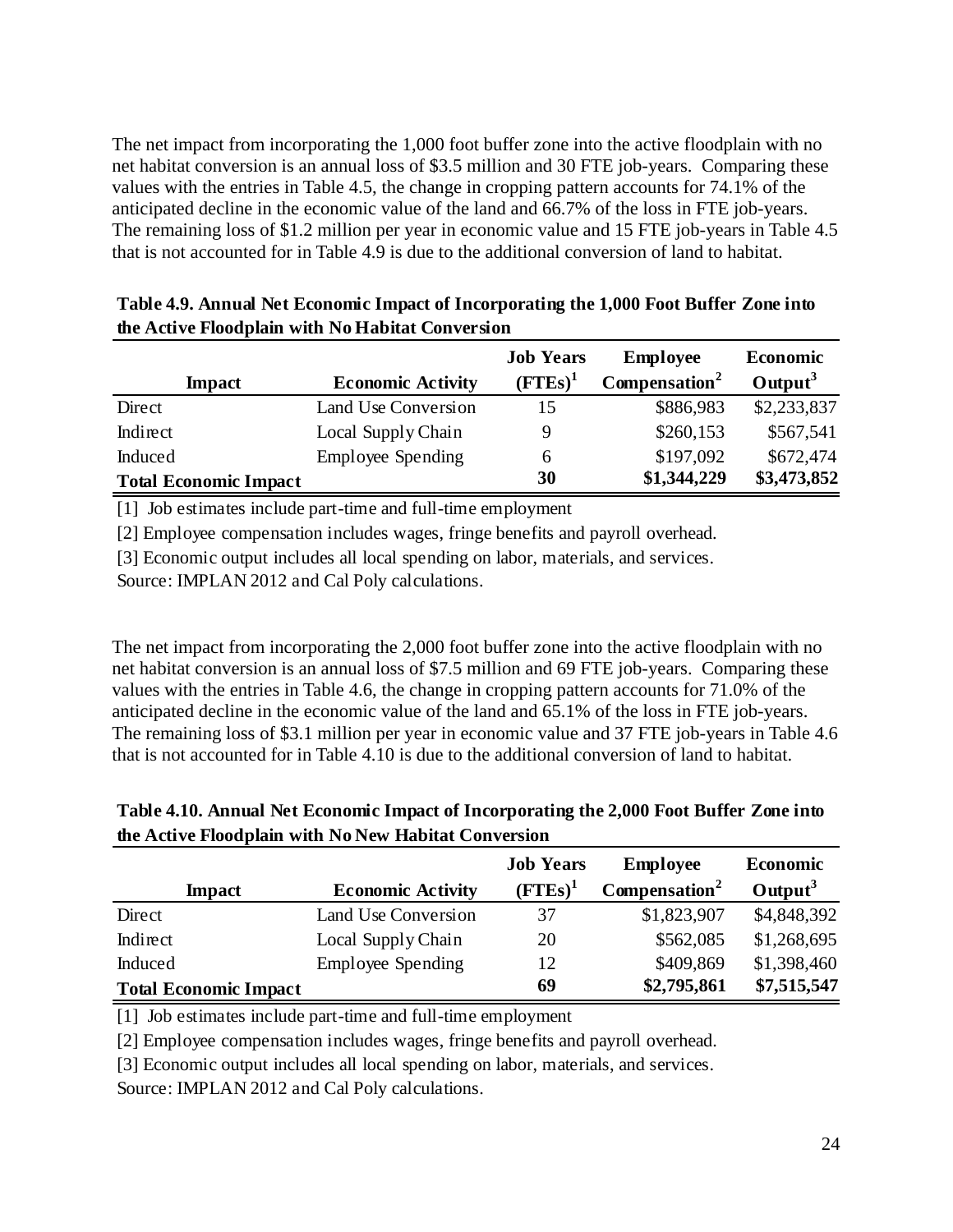The net impact from incorporating the 1,000 foot buffer zone into the active floodplain with no net habitat conversion is an annual loss of \$3.5 million and 30 FTE job-years. Comparing these values with the entries in Table 4.5, the change in cropping pattern accounts for 74.1% of the anticipated decline in the economic value of the land and 66.7% of the loss in FTE job-years. The remaining loss of \$1.2 million per year in economic value and 15 FTE job-years in Table 4.5 that is not accounted for in Table 4.9 is due to the additional conversion of land to habitat.

|                              |                          | <b>Job Years</b> | <b>Employee</b>           | <b>Economic</b>   |
|------------------------------|--------------------------|------------------|---------------------------|-------------------|
| <b>Impact</b>                | <b>Economic Activity</b> | $($ FTEs $)^1$   | Compensation <sup>2</sup> | $\text{Output}^3$ |
| Direct                       | Land Use Conversion      | 15               | \$886,983                 | \$2,233,837       |
| Indirect                     | Local Supply Chain       | 9                | \$260,153                 | \$567,541         |
| Induced                      | <b>Employee Spending</b> | 6                | \$197,092                 | \$672,474         |
| <b>Total Economic Impact</b> |                          | 30               | \$1,344,229               | \$3,473,852       |

**Table 4.9. Annual Net Economic Impact of Incorporating the 1,000 Foot Buffer Zone into the Active Floodplain with No Habitat Conversion**

[1] Job estimates include part-time and full-time employment

[2] Employee compensation includes wages, fringe benefits and payroll overhead.

[3] Economic output includes all local spending on labor, materials, and services.

Source: IMPLAN 2012 and Cal Poly calculations.

The net impact from incorporating the 2,000 foot buffer zone into the active floodplain with no net habitat conversion is an annual loss of \$7.5 million and 69 FTE job-years. Comparing these values with the entries in Table 4.6, the change in cropping pattern accounts for 71.0% of the anticipated decline in the economic value of the land and 65.1% of the loss in FTE job-years. The remaining loss of \$3.1 million per year in economic value and 37 FTE job-years in Table 4.6 that is not accounted for in Table 4.10 is due to the additional conversion of land to habitat.

**Table 4.10. Annual Net Economic Impact of Incorporating the 2,000 Foot Buffer Zone into the Active Floodplain with No New Habitat Conversion** 

|                              |                          | <b>Job Years</b> | <b>Employee</b>           | <b>Economic</b> |
|------------------------------|--------------------------|------------------|---------------------------|-----------------|
| <b>Impact</b>                | <b>Economic Activity</b> | $(FTEs)^1$       | Compensation <sup>2</sup> | Output $3$      |
| Direct                       | Land Use Conversion      | 37               | \$1,823,907               | \$4,848,392     |
| Indirect                     | Local Supply Chain       | 20               | \$562,085                 | \$1,268,695     |
| Induced                      | <b>Employee Spending</b> | 12               | \$409,869                 | \$1,398,460     |
| <b>Total Economic Impact</b> |                          | 69               | \$2,795,861               | \$7,515,547     |

[1] Job estimates include part-time and full-time employment

[2] Employee compensation includes wages, fringe benefits and payroll overhead.

[3] Economic output includes all local spending on labor, materials, and services.

Source: IMPLAN 2012 and Cal Poly calculations.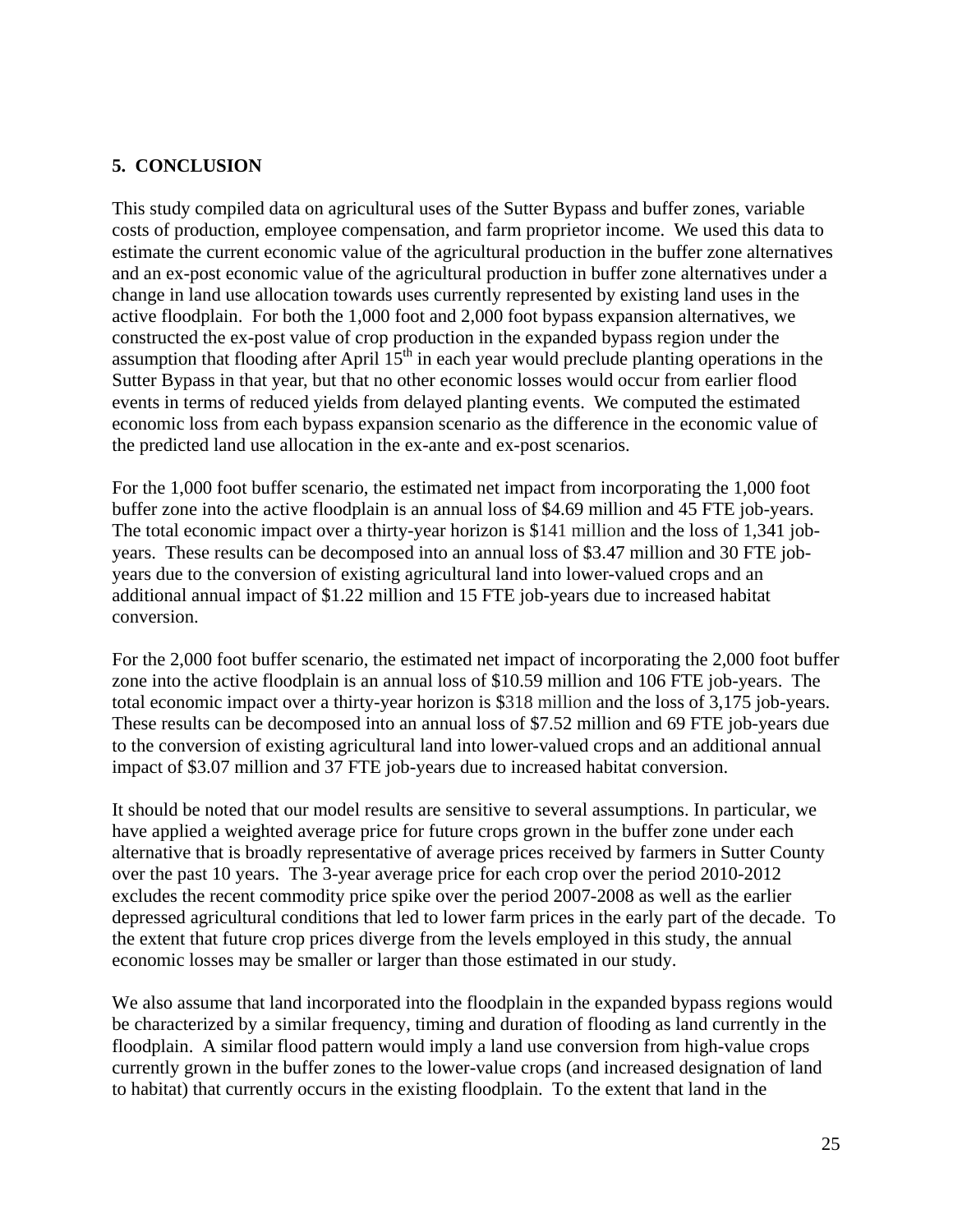## **5. CONCLUSION**

This study compiled data on agricultural uses of the Sutter Bypass and buffer zones, variable costs of production, employee compensation, and farm proprietor income. We used this data to estimate the current economic value of the agricultural production in the buffer zone alternatives and an ex-post economic value of the agricultural production in buffer zone alternatives under a change in land use allocation towards uses currently represented by existing land uses in the active floodplain. For both the 1,000 foot and 2,000 foot bypass expansion alternatives, we constructed the ex-post value of crop production in the expanded bypass region under the assumption that flooding after April  $15<sup>th</sup>$  in each year would preclude planting operations in the Sutter Bypass in that year, but that no other economic losses would occur from earlier flood events in terms of reduced yields from delayed planting events. We computed the estimated economic loss from each bypass expansion scenario as the difference in the economic value of the predicted land use allocation in the ex-ante and ex-post scenarios.

For the 1,000 foot buffer scenario, the estimated net impact from incorporating the 1,000 foot buffer zone into the active floodplain is an annual loss of \$4.69 million and 45 FTE job-years. The total economic impact over a thirty-year horizon is \$141 million and the loss of 1,341 jobyears. These results can be decomposed into an annual loss of \$3.47 million and 30 FTE jobyears due to the conversion of existing agricultural land into lower-valued crops and an additional annual impact of \$1.22 million and 15 FTE job-years due to increased habitat conversion.

For the 2,000 foot buffer scenario, the estimated net impact of incorporating the 2,000 foot buffer zone into the active floodplain is an annual loss of \$10.59 million and 106 FTE job-years. The total economic impact over a thirty-year horizon is \$318 million and the loss of 3,175 job-years. These results can be decomposed into an annual loss of \$7.52 million and 69 FTE job-years due to the conversion of existing agricultural land into lower-valued crops and an additional annual impact of \$3.07 million and 37 FTE job-years due to increased habitat conversion.

It should be noted that our model results are sensitive to several assumptions. In particular, we have applied a weighted average price for future crops grown in the buffer zone under each alternative that is broadly representative of average prices received by farmers in Sutter County over the past 10 years. The 3-year average price for each crop over the period 2010-2012 excludes the recent commodity price spike over the period 2007-2008 as well as the earlier depressed agricultural conditions that led to lower farm prices in the early part of the decade. To the extent that future crop prices diverge from the levels employed in this study, the annual economic losses may be smaller or larger than those estimated in our study.

We also assume that land incorporated into the floodplain in the expanded bypass regions would be characterized by a similar frequency, timing and duration of flooding as land currently in the floodplain. A similar flood pattern would imply a land use conversion from high-value crops currently grown in the buffer zones to the lower-value crops (and increased designation of land to habitat) that currently occurs in the existing floodplain. To the extent that land in the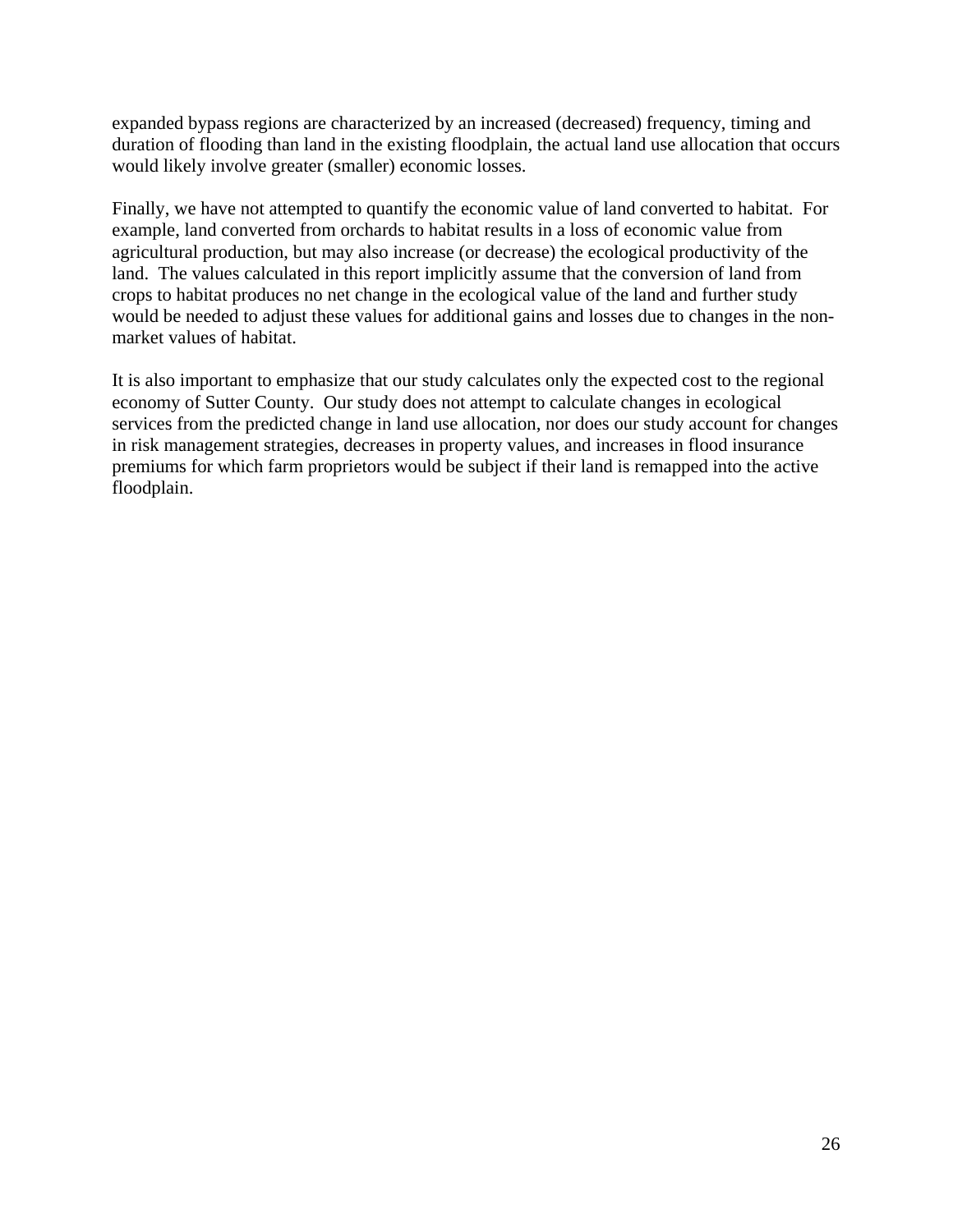expanded bypass regions are characterized by an increased (decreased) frequency, timing and duration of flooding than land in the existing floodplain, the actual land use allocation that occurs would likely involve greater (smaller) economic losses.

Finally, we have not attempted to quantify the economic value of land converted to habitat. For example, land converted from orchards to habitat results in a loss of economic value from agricultural production, but may also increase (or decrease) the ecological productivity of the land. The values calculated in this report implicitly assume that the conversion of land from crops to habitat produces no net change in the ecological value of the land and further study would be needed to adjust these values for additional gains and losses due to changes in the nonmarket values of habitat.

It is also important to emphasize that our study calculates only the expected cost to the regional economy of Sutter County. Our study does not attempt to calculate changes in ecological services from the predicted change in land use allocation, nor does our study account for changes in risk management strategies, decreases in property values, and increases in flood insurance premiums for which farm proprietors would be subject if their land is remapped into the active floodplain.